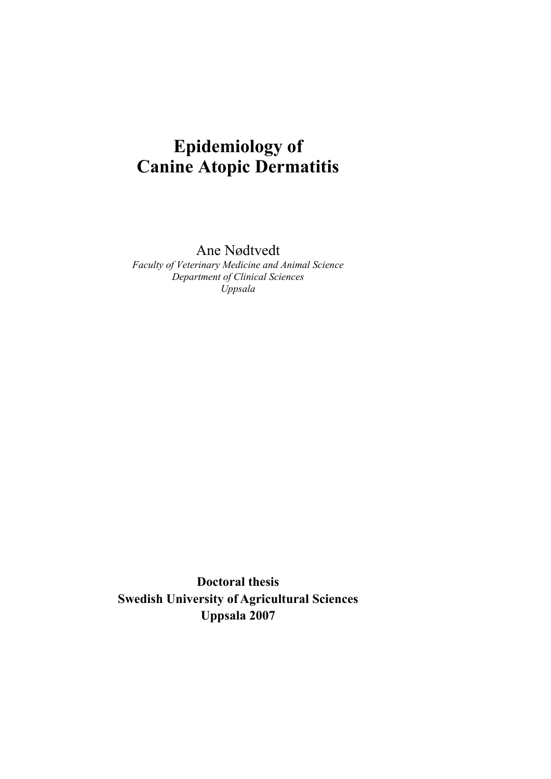# **Epidemiology of Canine Atopic Dermatitis**

Ane Nødtvedt *Faculty of Veterinary Medicine and Animal Science Department of Clinical Sciences Uppsala* 

**Doctoral thesis Swedish University of Agricultural Sciences Uppsala 2007**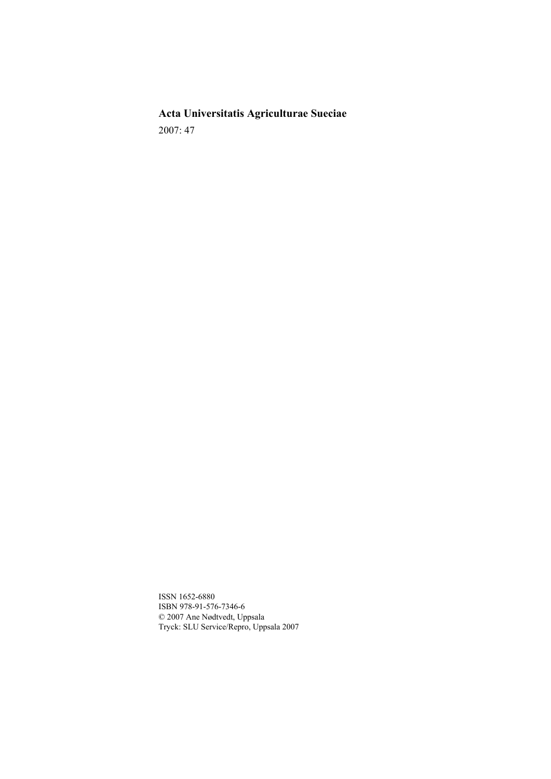**Acta Universitatis Agriculturae Sueciae**  2007: 47

ISSN 1652-6880 ISBN 978-91-576-7346-6 © 2007 Ane Nødtvedt, Uppsala Tryck: SLU Service/Repro, Uppsala 2007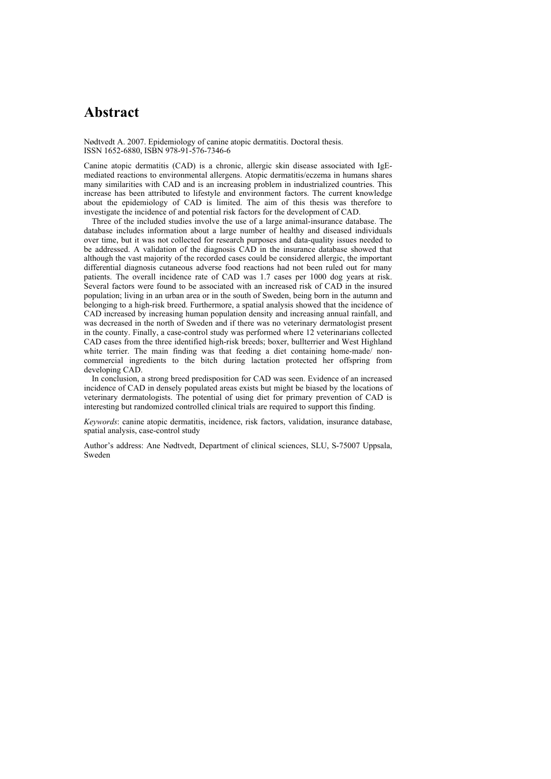### **Abstract**

Nødtvedt A. 2007. Epidemiology of canine atopic dermatitis. Doctoral thesis. ISSN 1652-6880, ISBN 978-91-576-7346-6

Canine atopic dermatitis (CAD) is a chronic, allergic skin disease associated with IgEmediated reactions to environmental allergens. Atopic dermatitis/eczema in humans shares many similarities with CAD and is an increasing problem in industrialized countries. This increase has been attributed to lifestyle and environment factors. The current knowledge about the epidemiology of CAD is limited. The aim of this thesis was therefore to investigate the incidence of and potential risk factors for the development of CAD.

Three of the included studies involve the use of a large animal-insurance database. The database includes information about a large number of healthy and diseased individuals over time, but it was not collected for research purposes and data-quality issues needed to be addressed. A validation of the diagnosis CAD in the insurance database showed that although the vast majority of the recorded cases could be considered allergic, the important differential diagnosis cutaneous adverse food reactions had not been ruled out for many patients. The overall incidence rate of CAD was 1.7 cases per 1000 dog years at risk. Several factors were found to be associated with an increased risk of CAD in the insured population; living in an urban area or in the south of Sweden, being born in the autumn and belonging to a high-risk breed. Furthermore, a spatial analysis showed that the incidence of CAD increased by increasing human population density and increasing annual rainfall, and was decreased in the north of Sweden and if there was no veterinary dermatologist present in the county. Finally, a case-control study was performed where 12 veterinarians collected CAD cases from the three identified high-risk breeds; boxer, bullterrier and West Highland white terrier. The main finding was that feeding a diet containing home-made/ noncommercial ingredients to the bitch during lactation protected her offspring from developing CAD.

In conclusion, a strong breed predisposition for CAD was seen. Evidence of an increased incidence of CAD in densely populated areas exists but might be biased by the locations of veterinary dermatologists. The potential of using diet for primary prevention of CAD is interesting but randomized controlled clinical trials are required to support this finding.

*Keywords*: canine atopic dermatitis, incidence, risk factors, validation, insurance database, spatial analysis, case-control study

Author's address: Ane Nødtvedt, Department of clinical sciences, SLU, S-75007 Uppsala, Sweden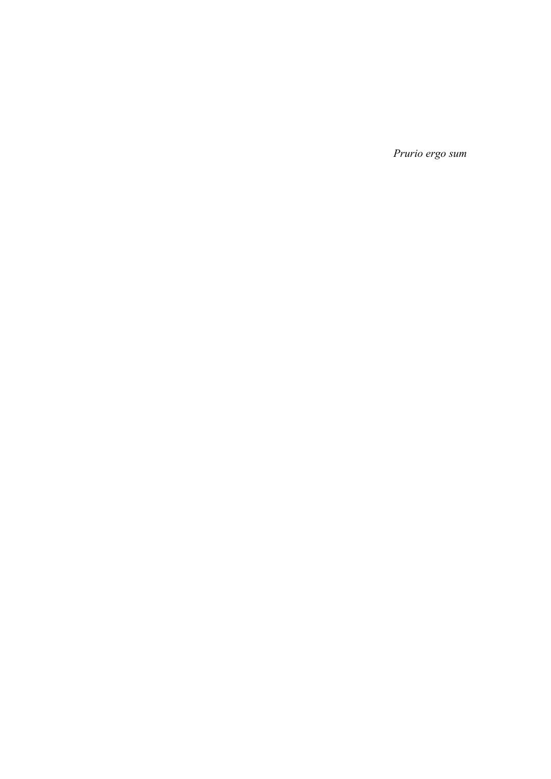*Prurio ergo sum*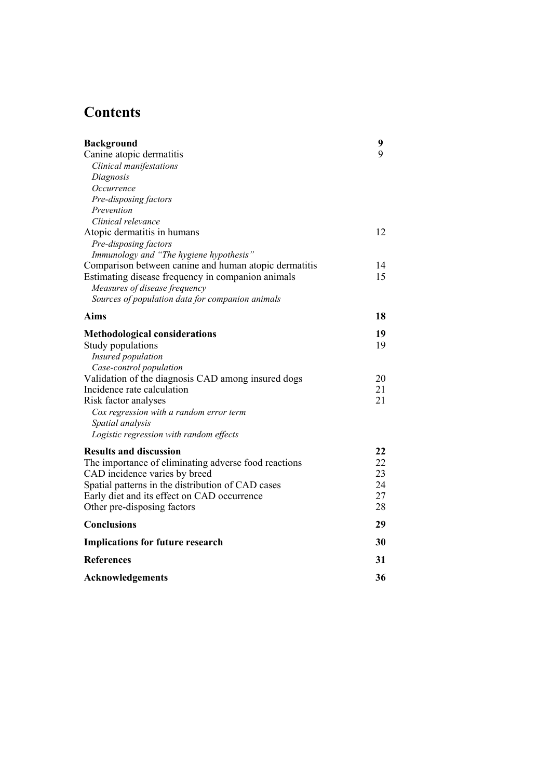# **Contents**

| <b>Background</b>                                     | 9  |
|-------------------------------------------------------|----|
| Canine atopic dermatitis                              | 9  |
| Clinical manifestations                               |    |
| Diagnosis                                             |    |
| Occurrence                                            |    |
| Pre-disposing factors                                 |    |
| Prevention                                            |    |
| Clinical relevance                                    |    |
| Atopic dermatitis in humans                           | 12 |
| Pre-disposing factors                                 |    |
| Immunology and "The hygiene hypothesis"               |    |
| Comparison between canine and human atopic dermatitis | 14 |
| Estimating disease frequency in companion animals     | 15 |
| Measures of disease frequency                         |    |
| Sources of population data for companion animals      |    |
| <b>Aims</b>                                           | 18 |
| <b>Methodological considerations</b>                  | 19 |
| Study populations                                     | 19 |
| Insured population                                    |    |
| Case-control population                               |    |
| Validation of the diagnosis CAD among insured dogs    | 20 |
| Incidence rate calculation                            | 21 |
| Risk factor analyses                                  | 21 |
| Cox regression with a random error term               |    |
| Spatial analysis                                      |    |
| Logistic regression with random effects               |    |
|                                                       |    |
| <b>Results and discussion</b>                         | 22 |
| The importance of eliminating adverse food reactions  | 22 |
| CAD incidence varies by breed                         | 23 |
| Spatial patterns in the distribution of CAD cases     | 24 |
| Early diet and its effect on CAD occurrence           | 27 |
| Other pre-disposing factors                           | 28 |
| <b>Conclusions</b>                                    | 29 |
| <b>Implications for future research</b>               | 30 |
| <b>References</b>                                     | 31 |
| Acknowledgements                                      | 36 |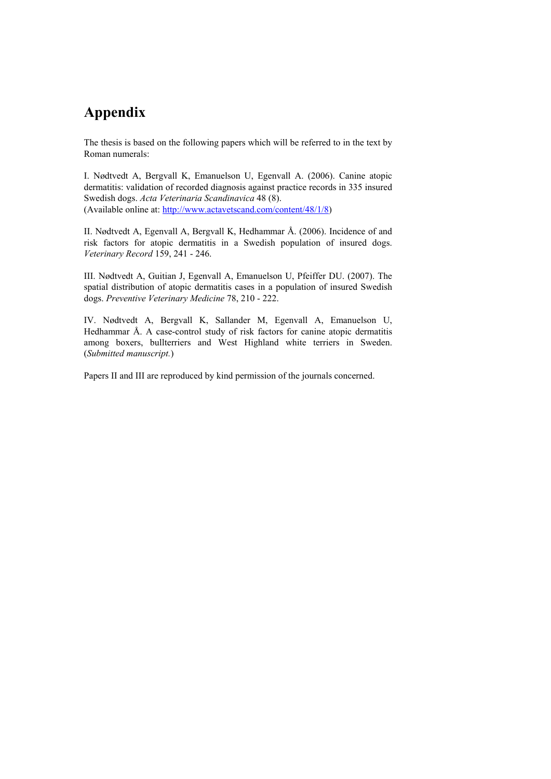# **Appendix**

The thesis is based on the following papers which will be referred to in the text by Roman numerals:

I. Nødtvedt A, Bergvall K, Emanuelson U, Egenvall A. (2006). Canine atopic dermatitis: validation of recorded diagnosis against practice records in 335 insured Swedish dogs. *Acta Veterinaria Scandinavica* 48 (8). (Available online at: <http://www.actavetscand.com/content/48/1/8>)

II. Nødtvedt A, Egenvall A, Bergvall K, Hedhammar Å. (2006). Incidence of and risk factors for atopic dermatitis in a Swedish population of insured dogs. *Veterinary Record* 159, 241 - 246.

III. Nødtvedt A, Guitian J, Egenvall A, Emanuelson U, Pfeiffer DU. (2007). The spatial distribution of atopic dermatitis cases in a population of insured Swedish dogs. *Preventive Veterinary Medicine* 78, 210 - 222.

IV. Nødtvedt A, Bergvall K, Sallander M, Egenvall A, Emanuelson U, Hedhammar Å. A case-control study of risk factors for canine atopic dermatitis among boxers, bullterriers and West Highland white terriers in Sweden. (*Submitted manuscript.*)

Papers II and III are reproduced by kind permission of the journals concerned.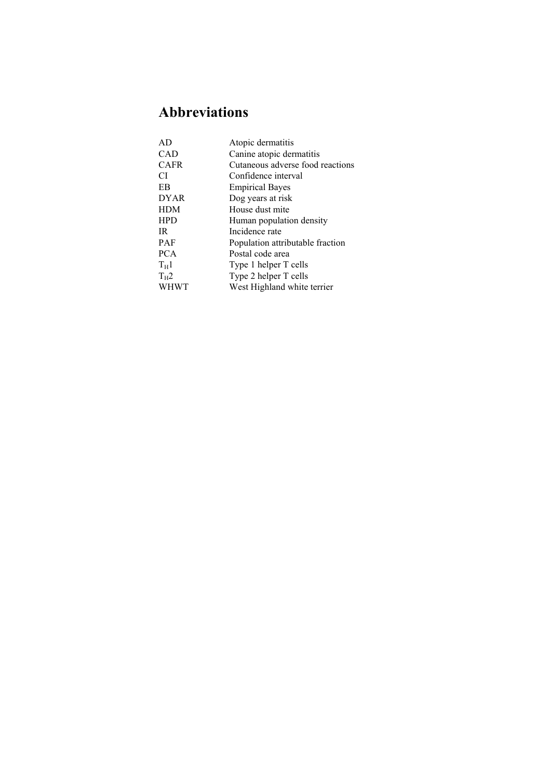# **Abbreviations**

| AD            | Atopic dermatitis                |
|---------------|----------------------------------|
| <b>CAD</b>    | Canine atopic dermatitis         |
| <b>CAFR</b>   | Cutaneous adverse food reactions |
| СI            | Confidence interval              |
| EB            | <b>Empirical Bayes</b>           |
| <b>DYAR</b>   | Dog years at risk                |
| <b>HDM</b>    | House dust mite                  |
| <b>HPD</b>    | Human population density         |
| IR            | Incidence rate                   |
| <b>PAF</b>    | Population attributable fraction |
| <b>PCA</b>    | Postal code area                 |
| $T_H1$        | Type 1 helper T cells            |
| $T_{\rm H}$ 2 | Type 2 helper T cells            |
| <b>WHWT</b>   | West Highland white terrier      |
|               |                                  |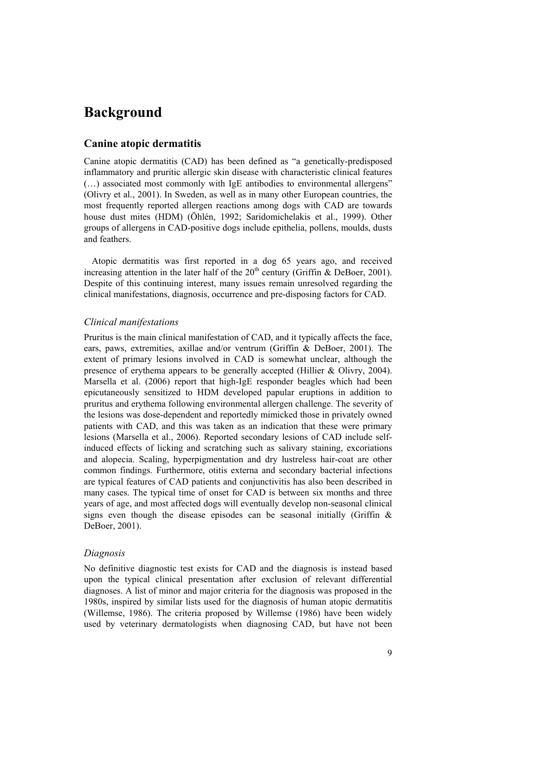## **Background**

### **Canine atopic dermatitis**

Canine atopic dermatitis (CAD) has been defined as "a genetically-predisposed inflammatory and pruritic allergic skin disease with characteristic clinical features (…) associated most commonly with IgE antibodies to environmental allergens" (Olivry et al*.*, 2001). In Sweden, as well as in many other European countries, the most frequently reported allergen reactions among dogs with CAD are towards house dust mites (HDM) (Öhlén, 1992; Saridomichelakis et al., 1999). Other groups of allergens in CAD-positive dogs include epithelia, pollens, moulds, dusts and feathers.

Atopic dermatitis was first reported in a dog 65 years ago, and received increasing attention in the later half of the  $20<sup>th</sup>$  century (Griffin & DeBoer, 2001). Despite of this continuing interest, many issues remain unresolved regarding the clinical manifestations, diagnosis, occurrence and pre-disposing factors for CAD.

### *Clinical manifestations*

Pruritus is the main clinical manifestation of CAD, and it typically affects the face, ears, paws, extremities, axillae and/or ventrum (Griffin & DeBoer, 2001). The extent of primary lesions involved in CAD is somewhat unclear, although the presence of erythema appears to be generally accepted (Hillier & Olivry, 2004). Marsella et al. (2006) report that high-IgE responder beagles which had been epicutaneously sensitized to HDM developed papular eruptions in addition to pruritus and erythema following environmental allergen challenge. The severity of the lesions was dose-dependent and reportedly mimicked those in privately owned patients with CAD, and this was taken as an indication that these were primary lesions (Marsella et al., 2006). Reported secondary lesions of CAD include selfinduced effects of licking and scratching such as salivary staining, excoriations and alopecia. Scaling, hyperpigmentation and dry lustreless hair-coat are other common findings. Furthermore, otitis externa and secondary bacterial infections are typical features of CAD patients and conjunctivitis has also been described in many cases. The typical time of onset for CAD is between six months and three years of age, and most affected dogs will eventually develop non-seasonal clinical signs even though the disease episodes can be seasonal initially (Griffin  $\&$ DeBoer, 2001).

### *Diagnosis*

No definitive diagnostic test exists for CAD and the diagnosis is instead based upon the typical clinical presentation after exclusion of relevant differential diagnoses. A list of minor and major criteria for the diagnosis was proposed in the 1980s, inspired by similar lists used for the diagnosis of human atopic dermatitis (Willemse, 1986). The criteria proposed by Willemse (1986) have been widely used by veterinary dermatologists when diagnosing CAD, but have not been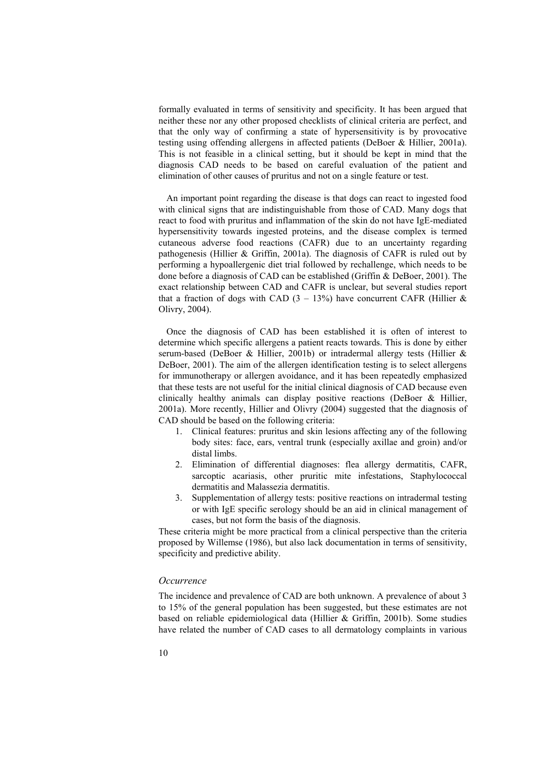formally evaluated in terms of sensitivity and specificity. It has been argued that neither these nor any other proposed checklists of clinical criteria are perfect, and that the only way of confirming a state of hypersensitivity is by provocative testing using offending allergens in affected patients (DeBoer & Hillier, 2001a). This is not feasible in a clinical setting, but it should be kept in mind that the diagnosis CAD needs to be based on careful evaluation of the patient and elimination of other causes of pruritus and not on a single feature or test.

An important point regarding the disease is that dogs can react to ingested food with clinical signs that are indistinguishable from those of CAD. Many dogs that react to food with pruritus and inflammation of the skin do not have IgE-mediated hypersensitivity towards ingested proteins, and the disease complex is termed cutaneous adverse food reactions (CAFR) due to an uncertainty regarding pathogenesis (Hillier & Griffin, 2001a). The diagnosis of CAFR is ruled out by performing a hypoallergenic diet trial followed by rechallenge, which needs to be done before a diagnosis of CAD can be established (Griffin & DeBoer, 2001). The exact relationship between CAD and CAFR is unclear, but several studies report that a fraction of dogs with CAD (3 – 13%) have concurrent CAFR (Hillier  $\&$ Olivry, 2004).

Once the diagnosis of CAD has been established it is often of interest to determine which specific allergens a patient reacts towards. This is done by either serum-based (DeBoer & Hillier, 2001b) or intradermal allergy tests (Hillier & DeBoer, 2001). The aim of the allergen identification testing is to select allergens for immunotherapy or allergen avoidance, and it has been repeatedly emphasized that these tests are not useful for the initial clinical diagnosis of CAD because even clinically healthy animals can display positive reactions (DeBoer & Hillier, 2001a). More recently, Hillier and Olivry (2004) suggested that the diagnosis of CAD should be based on the following criteria:

- 1. Clinical features: pruritus and skin lesions affecting any of the following body sites: face, ears, ventral trunk (especially axillae and groin) and/or distal limbs.
- 2. Elimination of differential diagnoses: flea allergy dermatitis, CAFR, sarcoptic acariasis, other pruritic mite infestations, Staphylococcal dermatitis and Malassezia dermatitis.
- 3. Supplementation of allergy tests: positive reactions on intradermal testing or with IgE specific serology should be an aid in clinical management of cases, but not form the basis of the diagnosis.

These criteria might be more practical from a clinical perspective than the criteria proposed by Willemse (1986), but also lack documentation in terms of sensitivity, specificity and predictive ability.

#### *Occurrence*

The incidence and prevalence of CAD are both unknown. A prevalence of about 3 to 15% of the general population has been suggested, but these estimates are not based on reliable epidemiological data (Hillier & Griffin, 2001b). Some studies have related the number of CAD cases to all dermatology complaints in various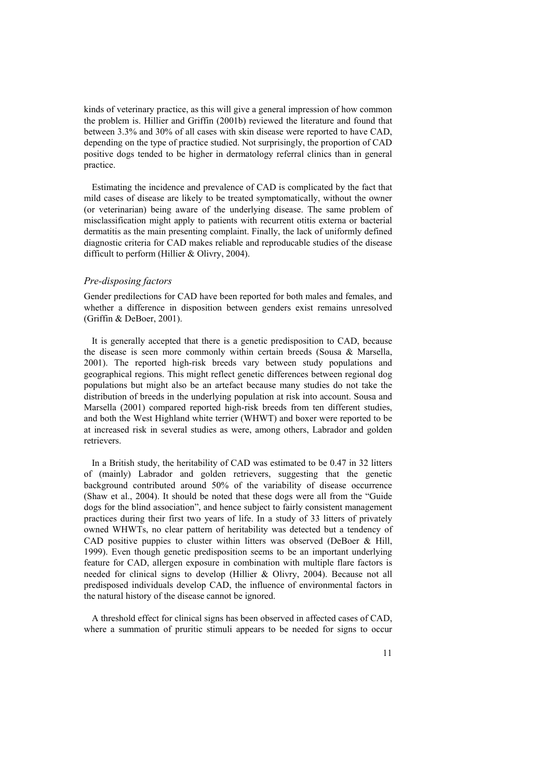kinds of veterinary practice, as this will give a general impression of how common the problem is. Hillier and Griffin (2001b) reviewed the literature and found that between 3.3% and 30% of all cases with skin disease were reported to have CAD, depending on the type of practice studied. Not surprisingly, the proportion of CAD positive dogs tended to be higher in dermatology referral clinics than in general practice.

Estimating the incidence and prevalence of CAD is complicated by the fact that mild cases of disease are likely to be treated symptomatically, without the owner (or veterinarian) being aware of the underlying disease. The same problem of misclassification might apply to patients with recurrent otitis externa or bacterial dermatitis as the main presenting complaint. Finally, the lack of uniformly defined diagnostic criteria for CAD makes reliable and reproducable studies of the disease difficult to perform (Hillier & Olivry, 2004).

### *Pre-disposing factors*

Gender predilections for CAD have been reported for both males and females, and whether a difference in disposition between genders exist remains unresolved (Griffin & DeBoer, 2001).

It is generally accepted that there is a genetic predisposition to CAD, because the disease is seen more commonly within certain breeds (Sousa & Marsella, 2001). The reported high-risk breeds vary between study populations and geographical regions. This might reflect genetic differences between regional dog populations but might also be an artefact because many studies do not take the distribution of breeds in the underlying population at risk into account. Sousa and Marsella (2001) compared reported high-risk breeds from ten different studies, and both the West Highland white terrier (WHWT) and boxer were reported to be at increased risk in several studies as were, among others, Labrador and golden retrievers.

In a British study, the heritability of CAD was estimated to be 0.47 in 32 litters of (mainly) Labrador and golden retrievers, suggesting that the genetic background contributed around 50% of the variability of disease occurrence (Shaw et al., 2004). It should be noted that these dogs were all from the "Guide dogs for the blind association", and hence subject to fairly consistent management practices during their first two years of life. In a study of 33 litters of privately owned WHWTs, no clear pattern of heritability was detected but a tendency of CAD positive puppies to cluster within litters was observed (DeBoer & Hill, 1999). Even though genetic predisposition seems to be an important underlying feature for CAD, allergen exposure in combination with multiple flare factors is needed for clinical signs to develop (Hillier & Olivry, 2004). Because not all predisposed individuals develop CAD, the influence of environmental factors in the natural history of the disease cannot be ignored.

A threshold effect for clinical signs has been observed in affected cases of CAD, where a summation of pruritic stimuli appears to be needed for signs to occur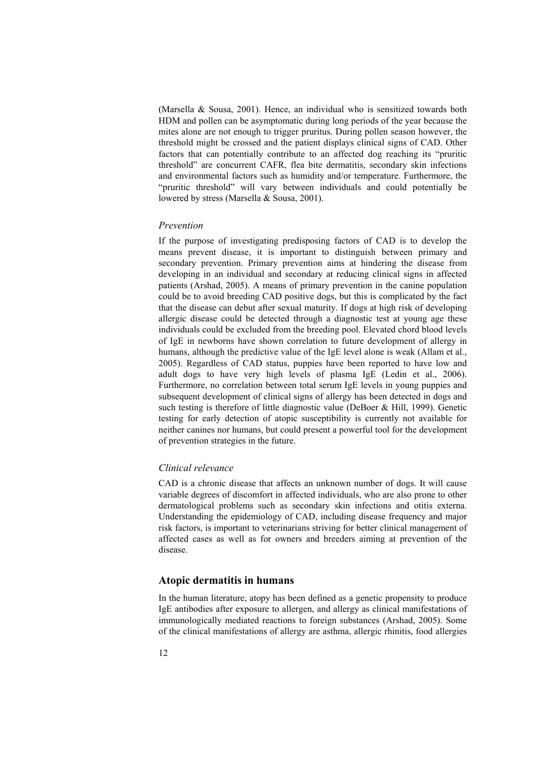(Marsella & Sousa, 2001). Hence, an individual who is sensitized towards both HDM and pollen can be asymptomatic during long periods of the year because the mites alone are not enough to trigger pruritus. During pollen season however, the threshold might be crossed and the patient displays clinical signs of CAD. Other factors that can potentially contribute to an affected dog reaching its "pruritic threshold" are concurrent CAFR, flea bite dermatitis, secondary skin infections and environmental factors such as humidity and/or temperature. Furthermore, the "pruritic threshold" will vary between individuals and could potentially be lowered by stress (Marsella & Sousa, 2001).

#### *Prevention*

If the purpose of investigating predisposing factors of CAD is to develop the means prevent disease, it is important to distinguish between primary and secondary prevention. Primary prevention aims at hindering the disease from developing in an individual and secondary at reducing clinical signs in affected patients (Arshad, 2005). A means of primary prevention in the canine population could be to avoid breeding CAD positive dogs, but this is complicated by the fact that the disease can debut after sexual maturity. If dogs at high risk of developing allergic disease could be detected through a diagnostic test at young age these individuals could be excluded from the breeding pool. Elevated chord blood levels of IgE in newborns have shown correlation to future development of allergy in humans, although the predictive value of the IgE level alone is weak (Allam et al., 2005). Regardless of CAD status, puppies have been reported to have low and adult dogs to have very high levels of plasma IgE (Ledin et al., 2006). Furthermore, no correlation between total serum IgE levels in young puppies and subsequent development of clinical signs of allergy has been detected in dogs and such testing is therefore of little diagnostic value (DeBoer & Hill, 1999). Genetic testing for early detection of atopic susceptibility is currently not available for neither canines nor humans, but could present a powerful tool for the development of prevention strategies in the future.

#### *Clinical relevance*

CAD is a chronic disease that affects an unknown number of dogs. It will cause variable degrees of discomfort in affected individuals, who are also prone to other dermatological problems such as secondary skin infections and otitis externa. Understanding the epidemiology of CAD, including disease frequency and major risk factors, is important to veterinarians striving for better clinical management of affected cases as well as for owners and breeders aiming at prevention of the disease.

### **Atopic dermatitis in humans**

In the human literature, atopy has been defined as a genetic propensity to produce IgE antibodies after exposure to allergen, and allergy as clinical manifestations of immunologically mediated reactions to foreign substances (Arshad, 2005). Some of the clinical manifestations of allergy are asthma, allergic rhinitis, food allergies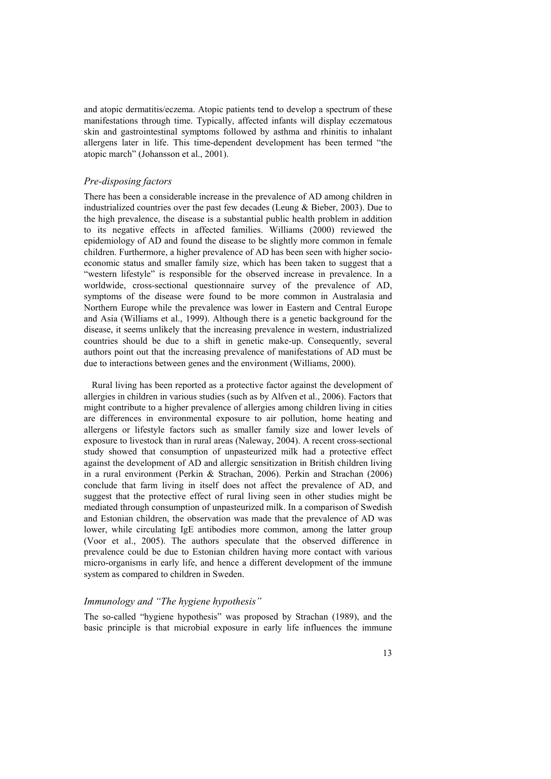and atopic dermatitis/eczema. Atopic patients tend to develop a spectrum of these manifestations through time. Typically, affected infants will display eczematous skin and gastrointestinal symptoms followed by asthma and rhinitis to inhalant allergens later in life. This time-dependent development has been termed "the atopic march" (Johansson et al., 2001).

### *Pre-disposing factors*

There has been a considerable increase in the prevalence of AD among children in industrialized countries over the past few decades (Leung  $&$  Bieber, 2003). Due to the high prevalence, the disease is a substantial public health problem in addition to its negative effects in affected families. Williams (2000) reviewed the epidemiology of AD and found the disease to be slightly more common in female children. Furthermore, a higher prevalence of AD has been seen with higher socioeconomic status and smaller family size, which has been taken to suggest that a "western lifestyle" is responsible for the observed increase in prevalence. In a worldwide, cross-sectional questionnaire survey of the prevalence of AD, symptoms of the disease were found to be more common in Australasia and Northern Europe while the prevalence was lower in Eastern and Central Europe and Asia (Williams et al., 1999). Although there is a genetic background for the disease, it seems unlikely that the increasing prevalence in western, industrialized countries should be due to a shift in genetic make-up. Consequently, several authors point out that the increasing prevalence of manifestations of AD must be due to interactions between genes and the environment (Williams, 2000).

Rural living has been reported as a protective factor against the development of allergies in children in various studies (such as by Alfven et al., 2006). Factors that might contribute to a higher prevalence of allergies among children living in cities are differences in environmental exposure to air pollution, home heating and allergens or lifestyle factors such as smaller family size and lower levels of exposure to livestock than in rural areas (Naleway, 2004). A recent cross-sectional study showed that consumption of unpasteurized milk had a protective effect against the development of AD and allergic sensitization in British children living in a rural environment (Perkin & Strachan, 2006). Perkin and Strachan (2006) conclude that farm living in itself does not affect the prevalence of AD, and suggest that the protective effect of rural living seen in other studies might be mediated through consumption of unpasteurized milk. In a comparison of Swedish and Estonian children, the observation was made that the prevalence of AD was lower, while circulating IgE antibodies more common, among the latter group (Voor et al., 2005). The authors speculate that the observed difference in prevalence could be due to Estonian children having more contact with various micro-organisms in early life, and hence a different development of the immune system as compared to children in Sweden.

### *Immunology and "The hygiene hypothesis"*

The so-called "hygiene hypothesis" was proposed by Strachan (1989), and the basic principle is that microbial exposure in early life influences the immune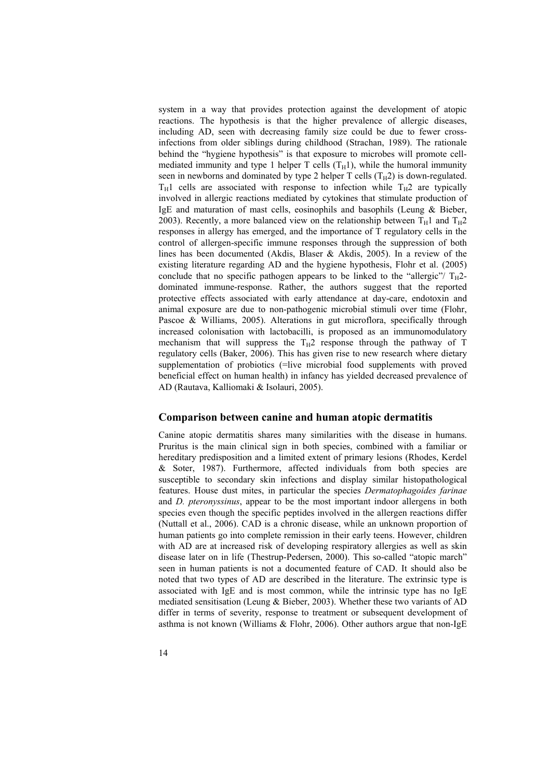system in a way that provides protection against the development of atopic reactions. The hypothesis is that the higher prevalence of allergic diseases, including AD, seen with decreasing family size could be due to fewer crossinfections from older siblings during childhood (Strachan, 1989). The rationale behind the "hygiene hypothesis" is that exposure to microbes will promote cellmediated immunity and type 1 helper T cells  $(T_H1)$ , while the humoral immunity seen in newborns and dominated by type 2 helper T cells  $(T_H2)$  is down-regulated.  $T_H1$  cells are associated with response to infection while  $T_H2$  are typically involved in allergic reactions mediated by cytokines that stimulate production of IgE and maturation of mast cells, eosinophils and basophils (Leung & Bieber, 2003). Recently, a more balanced view on the relationship between  $T_H1$  and  $T_H2$ responses in allergy has emerged, and the importance of T regulatory cells in the control of allergen-specific immune responses through the suppression of both lines has been documented (Akdis, Blaser & Akdis, 2005). In a review of the existing literature regarding AD and the hygiene hypothesis, Flohr et al. (2005) conclude that no specific pathogen appears to be linked to the "allergic"/ $T_H$ 2dominated immune-response. Rather, the authors suggest that the reported protective effects associated with early attendance at day-care, endotoxin and animal exposure are due to non-pathogenic microbial stimuli over time (Flohr, Pascoe & Williams, 2005). Alterations in gut microflora, specifically through increased colonisation with lactobacilli, is proposed as an immunomodulatory mechanism that will suppress the  $T_H2$  response through the pathway of T regulatory cells (Baker, 2006). This has given rise to new research where dietary supplementation of probiotics (=live microbial food supplements with proved beneficial effect on human health) in infancy has yielded decreased prevalence of AD (Rautava, Kalliomaki & Isolauri, 2005).

### **Comparison between canine and human atopic dermatitis**

Canine atopic dermatitis shares many similarities with the disease in humans. Pruritus is the main clinical sign in both species, combined with a familiar or hereditary predisposition and a limited extent of primary lesions (Rhodes, Kerdel & Soter, 1987). Furthermore, affected individuals from both species are susceptible to secondary skin infections and display similar histopathological features. House dust mites, in particular the species *Dermatophagoides farinae* and *D. pteronyssinus*, appear to be the most important indoor allergens in both species even though the specific peptides involved in the allergen reactions differ (Nuttall et al., 2006). CAD is a chronic disease, while an unknown proportion of human patients go into complete remission in their early teens. However, children with AD are at increased risk of developing respiratory allergies as well as skin disease later on in life (Thestrup-Pedersen, 2000). This so-called "atopic march" seen in human patients is not a documented feature of CAD. It should also be noted that two types of AD are described in the literature. The extrinsic type is associated with IgE and is most common, while the intrinsic type has no IgE mediated sensitisation (Leung & Bieber, 2003). Whether these two variants of AD differ in terms of severity, response to treatment or subsequent development of asthma is not known (Williams & Flohr, 2006). Other authors argue that non-IgE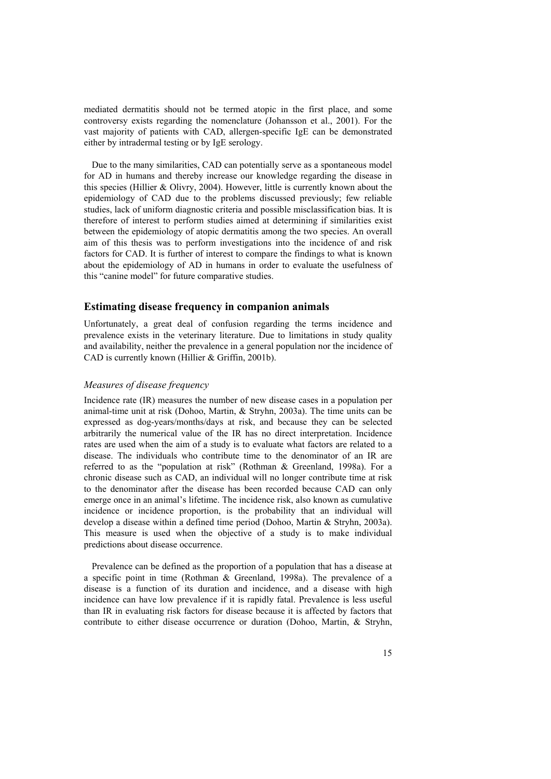mediated dermatitis should not be termed atopic in the first place, and some controversy exists regarding the nomenclature (Johansson et al., 2001). For the vast majority of patients with CAD, allergen-specific IgE can be demonstrated either by intradermal testing or by IgE serology.

Due to the many similarities, CAD can potentially serve as a spontaneous model for AD in humans and thereby increase our knowledge regarding the disease in this species (Hillier & Olivry, 2004). However, little is currently known about the epidemiology of CAD due to the problems discussed previously; few reliable studies, lack of uniform diagnostic criteria and possible misclassification bias. It is therefore of interest to perform studies aimed at determining if similarities exist between the epidemiology of atopic dermatitis among the two species. An overall aim of this thesis was to perform investigations into the incidence of and risk factors for CAD. It is further of interest to compare the findings to what is known about the epidemiology of AD in humans in order to evaluate the usefulness of this "canine model" for future comparative studies.

### **Estimating disease frequency in companion animals**

Unfortunately, a great deal of confusion regarding the terms incidence and prevalence exists in the veterinary literature. Due to limitations in study quality and availability, neither the prevalence in a general population nor the incidence of CAD is currently known (Hillier & Griffin, 2001b).

### *Measures of disease frequency*

Incidence rate (IR) measures the number of new disease cases in a population per animal-time unit at risk (Dohoo, Martin, & Stryhn, 2003a). The time units can be expressed as dog-years/months/days at risk, and because they can be selected arbitrarily the numerical value of the IR has no direct interpretation. Incidence rates are used when the aim of a study is to evaluate what factors are related to a disease. The individuals who contribute time to the denominator of an IR are referred to as the "population at risk" (Rothman & Greenland, 1998a). For a chronic disease such as CAD, an individual will no longer contribute time at risk to the denominator after the disease has been recorded because CAD can only emerge once in an animal's lifetime. The incidence risk, also known as cumulative incidence or incidence proportion, is the probability that an individual will develop a disease within a defined time period (Dohoo, Martin & Stryhn, 2003a). This measure is used when the objective of a study is to make individual predictions about disease occurrence.

Prevalence can be defined as the proportion of a population that has a disease at a specific point in time (Rothman & Greenland, 1998a). The prevalence of a disease is a function of its duration and incidence, and a disease with high incidence can have low prevalence if it is rapidly fatal. Prevalence is less useful than IR in evaluating risk factors for disease because it is affected by factors that contribute to either disease occurrence or duration (Dohoo, Martin, & Stryhn,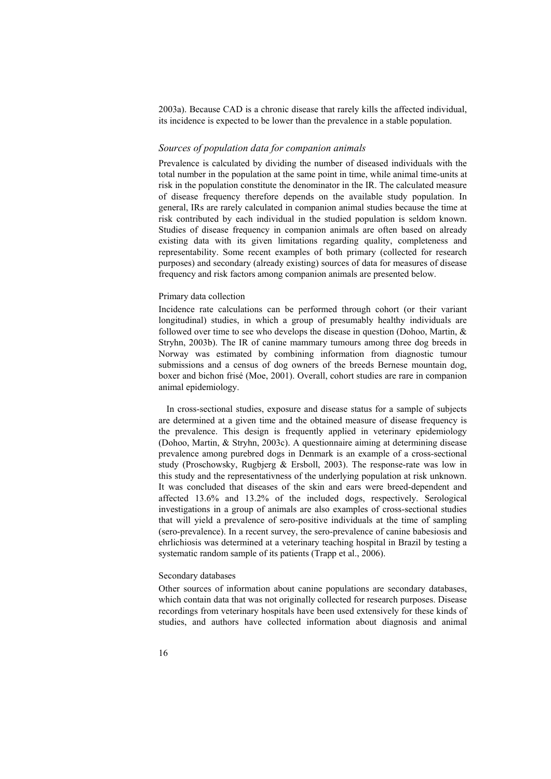2003a). Because CAD is a chronic disease that rarely kills the affected individual, its incidence is expected to be lower than the prevalence in a stable population.

### *Sources of population data for companion animals*

Prevalence is calculated by dividing the number of diseased individuals with the total number in the population at the same point in time, while animal time-units at risk in the population constitute the denominator in the IR. The calculated measure of disease frequency therefore depends on the available study population. In general, IRs are rarely calculated in companion animal studies because the time at risk contributed by each individual in the studied population is seldom known. Studies of disease frequency in companion animals are often based on already existing data with its given limitations regarding quality, completeness and representability. Some recent examples of both primary (collected for research purposes) and secondary (already existing) sources of data for measures of disease frequency and risk factors among companion animals are presented below.

#### Primary data collection

Incidence rate calculations can be performed through cohort (or their variant longitudinal) studies, in which a group of presumably healthy individuals are followed over time to see who develops the disease in question (Dohoo, Martin, & Stryhn, 2003b). The IR of canine mammary tumours among three dog breeds in Norway was estimated by combining information from diagnostic tumour submissions and a census of dog owners of the breeds Bernese mountain dog, boxer and bichon frisé (Moe, 2001). Overall, cohort studies are rare in companion animal epidemiology.

In cross-sectional studies, exposure and disease status for a sample of subjects are determined at a given time and the obtained measure of disease frequency is the prevalence. This design is frequently applied in veterinary epidemiology (Dohoo, Martin, & Stryhn, 2003c). A questionnaire aiming at determining disease prevalence among purebred dogs in Denmark is an example of a cross-sectional study (Proschowsky, Rugbjerg & Ersboll, 2003). The response-rate was low in this study and the representativness of the underlying population at risk unknown. It was concluded that diseases of the skin and ears were breed-dependent and affected 13.6% and 13.2% of the included dogs, respectively. Serological investigations in a group of animals are also examples of cross-sectional studies that will yield a prevalence of sero-positive individuals at the time of sampling (sero-prevalence). In a recent survey, the sero-prevalence of canine babesiosis and ehrlichiosis was determined at a veterinary teaching hospital in Brazil by testing a systematic random sample of its patients (Trapp et al., 2006).

#### Secondary databases

Other sources of information about canine populations are secondary databases, which contain data that was not originally collected for research purposes. Disease recordings from veterinary hospitals have been used extensively for these kinds of studies, and authors have collected information about diagnosis and animal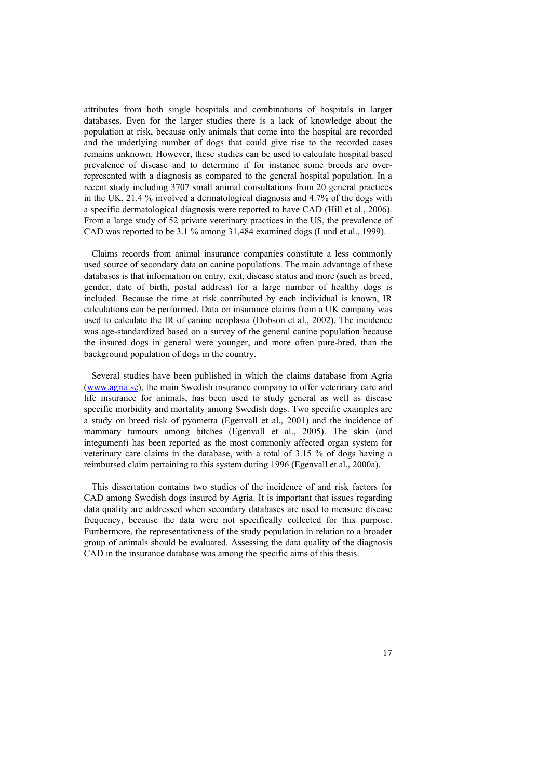attributes from both single hospitals and combinations of hospitals in larger databases. Even for the larger studies there is a lack of knowledge about the population at risk, because only animals that come into the hospital are recorded and the underlying number of dogs that could give rise to the recorded cases remains unknown. However, these studies can be used to calculate hospital based prevalence of disease and to determine if for instance some breeds are overrepresented with a diagnosis as compared to the general hospital population. In a recent study including 3707 small animal consultations from 20 general practices in the UK, 21.4 % involved a dermatological diagnosis and 4.7% of the dogs with a specific dermatological diagnosis were reported to have CAD (Hill et al., 2006). From a large study of 52 private veterinary practices in the US, the prevalence of CAD was reported to be 3.1 % among 31,484 examined dogs (Lund et al., 1999).

Claims records from animal insurance companies constitute a less commonly used source of secondary data on canine populations. The main advantage of these databases is that information on entry, exit, disease status and more (such as breed, gender, date of birth, postal address) for a large number of healthy dogs is included. Because the time at risk contributed by each individual is known, IR calculations can be performed. Data on insurance claims from a UK company was used to calculate the IR of canine neoplasia (Dobson et al., 2002). The incidence was age-standardized based on a survey of the general canine population because the insured dogs in general were younger, and more often pure-bred, than the background population of dogs in the country.

Several studies have been published in which the claims database from Agria [\(www.agria.se](http://www.agria.se/)), the main Swedish insurance company to offer veterinary care and life insurance for animals, has been used to study general as well as disease specific morbidity and mortality among Swedish dogs. Two specific examples are a study on breed risk of pyometra (Egenvall et al., 2001) and the incidence of mammary tumours among bitches (Egenvall et al., 2005). The skin (and integument) has been reported as the most commonly affected organ system for veterinary care claims in the database, with a total of 3.15 % of dogs having a reimbursed claim pertaining to this system during 1996 (Egenvall et al., 2000a).

This dissertation contains two studies of the incidence of and risk factors for CAD among Swedish dogs insured by Agria. It is important that issues regarding data quality are addressed when secondary databases are used to measure disease frequency, because the data were not specifically collected for this purpose. Furthermore, the representativness of the study population in relation to a broader group of animals should be evaluated. Assessing the data quality of the diagnosis CAD in the insurance database was among the specific aims of this thesis.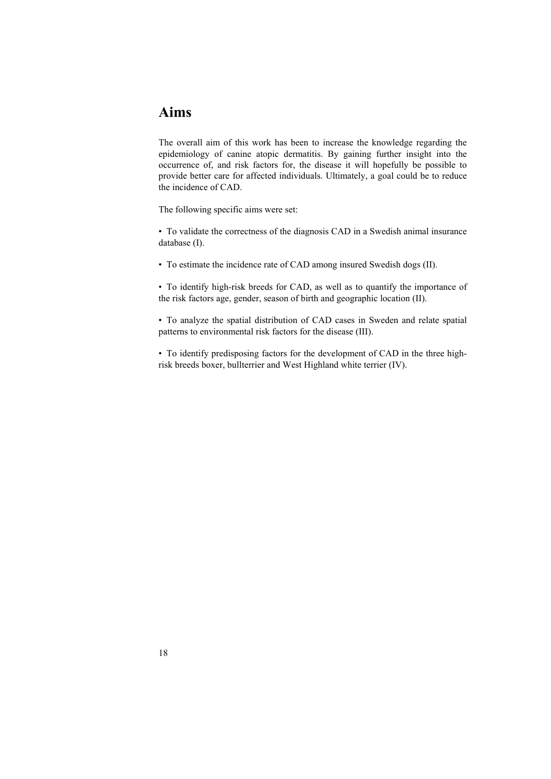## **Aims**

The overall aim of this work has been to increase the knowledge regarding the epidemiology of canine atopic dermatitis. By gaining further insight into the occurrence of, and risk factors for, the disease it will hopefully be possible to provide better care for affected individuals. Ultimately, a goal could be to reduce the incidence of CAD.

The following specific aims were set:

• To validate the correctness of the diagnosis CAD in a Swedish animal insurance database (I).

• To estimate the incidence rate of CAD among insured Swedish dogs (II).

• To identify high-risk breeds for CAD, as well as to quantify the importance of the risk factors age, gender, season of birth and geographic location (II).

• To analyze the spatial distribution of CAD cases in Sweden and relate spatial patterns to environmental risk factors for the disease (III).

• To identify predisposing factors for the development of CAD in the three highrisk breeds boxer, bullterrier and West Highland white terrier (IV).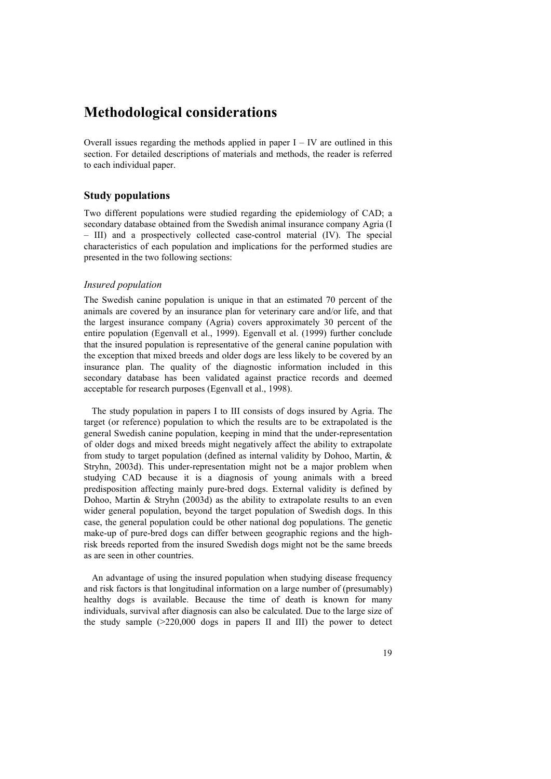### **Methodological considerations**

Overall issues regarding the methods applied in paper  $I - IV$  are outlined in this section. For detailed descriptions of materials and methods, the reader is referred to each individual paper.

### **Study populations**

Two different populations were studied regarding the epidemiology of CAD; a secondary database obtained from the Swedish animal insurance company Agria (I – III) and a prospectively collected case-control material (IV). The special characteristics of each population and implications for the performed studies are presented in the two following sections:

### *Insured population*

The Swedish canine population is unique in that an estimated 70 percent of the animals are covered by an insurance plan for veterinary care and/or life, and that the largest insurance company (Agria) covers approximately 30 percent of the entire population (Egenvall et al., 1999). Egenvall et al. (1999) further conclude that the insured population is representative of the general canine population with the exception that mixed breeds and older dogs are less likely to be covered by an insurance plan. The quality of the diagnostic information included in this secondary database has been validated against practice records and deemed acceptable for research purposes (Egenvall et al., 1998).

The study population in papers I to III consists of dogs insured by Agria. The target (or reference) population to which the results are to be extrapolated is the general Swedish canine population, keeping in mind that the under-representation of older dogs and mixed breeds might negatively affect the ability to extrapolate from study to target population (defined as internal validity by Dohoo, Martin, & Stryhn, 2003d). This under-representation might not be a major problem when studying CAD because it is a diagnosis of young animals with a breed predisposition affecting mainly pure-bred dogs. External validity is defined by Dohoo, Martin & Stryhn (2003d) as the ability to extrapolate results to an even wider general population, beyond the target population of Swedish dogs. In this case, the general population could be other national dog populations. The genetic make-up of pure-bred dogs can differ between geographic regions and the highrisk breeds reported from the insured Swedish dogs might not be the same breeds as are seen in other countries.

An advantage of using the insured population when studying disease frequency and risk factors is that longitudinal information on a large number of (presumably) healthy dogs is available. Because the time of death is known for many individuals, survival after diagnosis can also be calculated. Due to the large size of the study sample (>220,000 dogs in papers II and III) the power to detect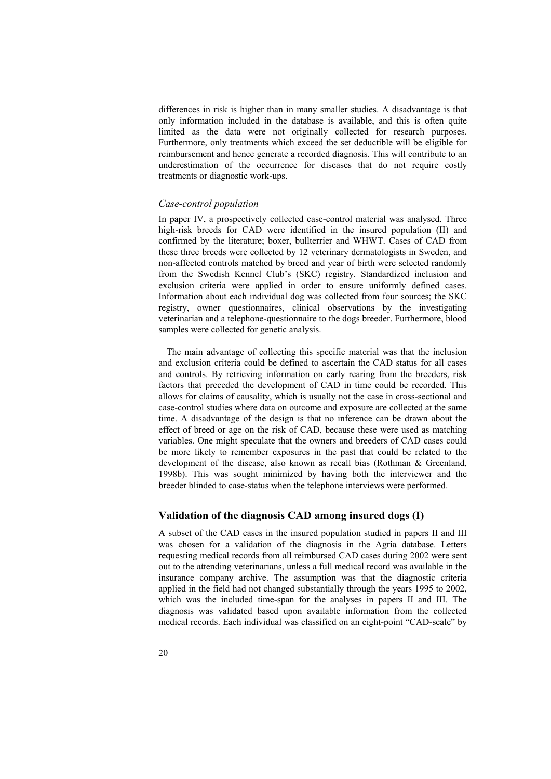differences in risk is higher than in many smaller studies. A disadvantage is that only information included in the database is available, and this is often quite limited as the data were not originally collected for research purposes. Furthermore, only treatments which exceed the set deductible will be eligible for reimbursement and hence generate a recorded diagnosis. This will contribute to an underestimation of the occurrence for diseases that do not require costly treatments or diagnostic work-ups.

### *Case-control population*

In paper IV, a prospectively collected case-control material was analysed. Three high-risk breeds for CAD were identified in the insured population (II) and confirmed by the literature; boxer, bullterrier and WHWT. Cases of CAD from these three breeds were collected by 12 veterinary dermatologists in Sweden, and non-affected controls matched by breed and year of birth were selected randomly from the Swedish Kennel Club's (SKC) registry. Standardized inclusion and exclusion criteria were applied in order to ensure uniformly defined cases. Information about each individual dog was collected from four sources; the SKC registry, owner questionnaires, clinical observations by the investigating veterinarian and a telephone-questionnaire to the dogs breeder. Furthermore, blood samples were collected for genetic analysis.

The main advantage of collecting this specific material was that the inclusion and exclusion criteria could be defined to ascertain the CAD status for all cases and controls. By retrieving information on early rearing from the breeders, risk factors that preceded the development of CAD in time could be recorded. This allows for claims of causality, which is usually not the case in cross-sectional and case-control studies where data on outcome and exposure are collected at the same time. A disadvantage of the design is that no inference can be drawn about the effect of breed or age on the risk of CAD, because these were used as matching variables. One might speculate that the owners and breeders of CAD cases could be more likely to remember exposures in the past that could be related to the development of the disease, also known as recall bias (Rothman & Greenland, 1998b). This was sought minimized by having both the interviewer and the breeder blinded to case-status when the telephone interviews were performed.

### **Validation of the diagnosis CAD among insured dogs (I)**

A subset of the CAD cases in the insured population studied in papers II and III was chosen for a validation of the diagnosis in the Agria database. Letters requesting medical records from all reimbursed CAD cases during 2002 were sent out to the attending veterinarians, unless a full medical record was available in the insurance company archive. The assumption was that the diagnostic criteria applied in the field had not changed substantially through the years 1995 to 2002, which was the included time-span for the analyses in papers II and III. The diagnosis was validated based upon available information from the collected medical records. Each individual was classified on an eight-point "CAD-scale" by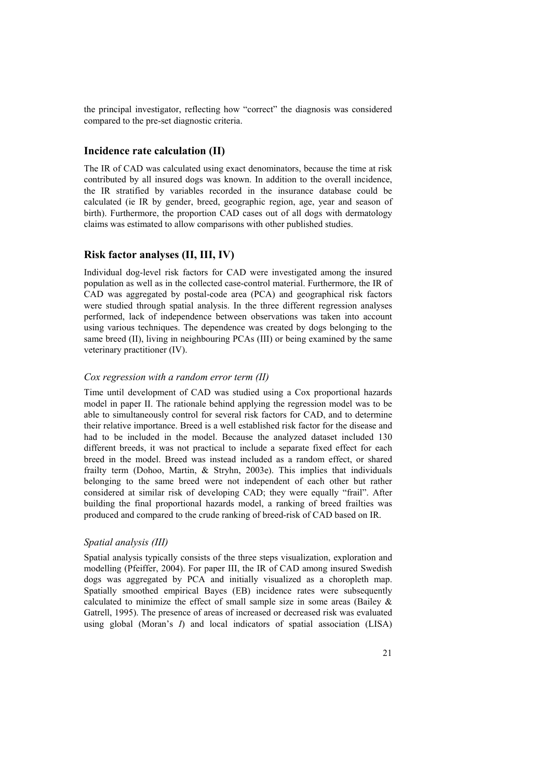the principal investigator, reflecting how "correct" the diagnosis was considered compared to the pre-set diagnostic criteria.

### **Incidence rate calculation (II)**

The IR of CAD was calculated using exact denominators, because the time at risk contributed by all insured dogs was known. In addition to the overall incidence, the IR stratified by variables recorded in the insurance database could be calculated (ie IR by gender, breed, geographic region, age, year and season of birth). Furthermore, the proportion CAD cases out of all dogs with dermatology claims was estimated to allow comparisons with other published studies.

### **Risk factor analyses (II, III, IV)**

Individual dog-level risk factors for CAD were investigated among the insured population as well as in the collected case-control material. Furthermore, the IR of CAD was aggregated by postal-code area (PCA) and geographical risk factors were studied through spatial analysis. In the three different regression analyses performed, lack of independence between observations was taken into account using various techniques. The dependence was created by dogs belonging to the same breed (II), living in neighbouring PCAs (III) or being examined by the same veterinary practitioner (IV).

### *Cox regression with a random error term (II)*

Time until development of CAD was studied using a Cox proportional hazards model in paper II. The rationale behind applying the regression model was to be able to simultaneously control for several risk factors for CAD, and to determine their relative importance. Breed is a well established risk factor for the disease and had to be included in the model. Because the analyzed dataset included 130 different breeds, it was not practical to include a separate fixed effect for each breed in the model. Breed was instead included as a random effect, or shared frailty term (Dohoo, Martin, & Stryhn, 2003e). This implies that individuals belonging to the same breed were not independent of each other but rather considered at similar risk of developing CAD; they were equally "frail". After building the final proportional hazards model, a ranking of breed frailties was produced and compared to the crude ranking of breed-risk of CAD based on IR.

### *Spatial analysis (III)*

Spatial analysis typically consists of the three steps visualization, exploration and modelling (Pfeiffer, 2004). For paper III, the IR of CAD among insured Swedish dogs was aggregated by PCA and initially visualized as a choropleth map. Spatially smoothed empirical Bayes (EB) incidence rates were subsequently calculated to minimize the effect of small sample size in some areas (Bailey  $\&$ Gatrell, 1995). The presence of areas of increased or decreased risk was evaluated using global (Moran's *I*) and local indicators of spatial association (LISA)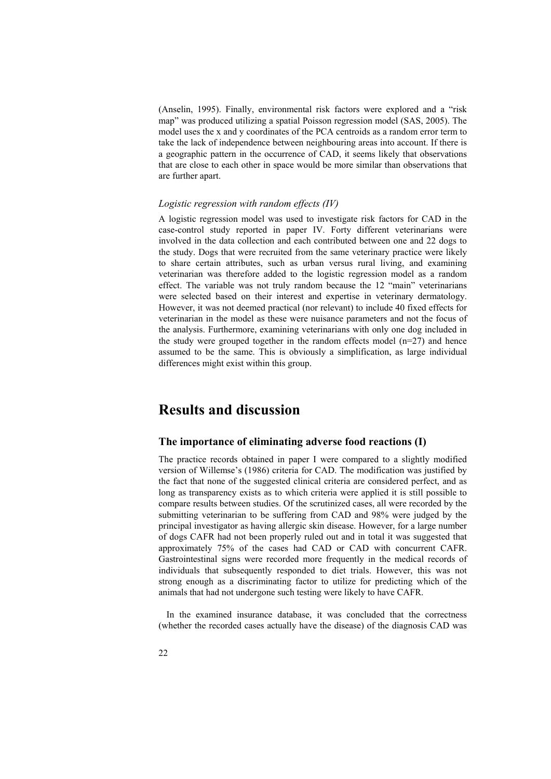(Anselin, 1995). Finally, environmental risk factors were explored and a "risk map" was produced utilizing a spatial Poisson regression model (SAS, 2005). The model uses the x and y coordinates of the PCA centroids as a random error term to take the lack of independence between neighbouring areas into account. If there is a geographic pattern in the occurrence of CAD, it seems likely that observations that are close to each other in space would be more similar than observations that are further apart.

### *Logistic regression with random effects (IV)*

A logistic regression model was used to investigate risk factors for CAD in the case-control study reported in paper IV. Forty different veterinarians were involved in the data collection and each contributed between one and 22 dogs to the study. Dogs that were recruited from the same veterinary practice were likely to share certain attributes, such as urban versus rural living, and examining veterinarian was therefore added to the logistic regression model as a random effect. The variable was not truly random because the 12 "main" veterinarians were selected based on their interest and expertise in veterinary dermatology. However, it was not deemed practical (nor relevant) to include 40 fixed effects for veterinarian in the model as these were nuisance parameters and not the focus of the analysis. Furthermore, examining veterinarians with only one dog included in the study were grouped together in the random effects model (n=27) and hence assumed to be the same. This is obviously a simplification, as large individual differences might exist within this group.

### **Results and discussion**

### **The importance of eliminating adverse food reactions (I)**

The practice records obtained in paper I were compared to a slightly modified version of Willemse's (1986) criteria for CAD. The modification was justified by the fact that none of the suggested clinical criteria are considered perfect, and as long as transparency exists as to which criteria were applied it is still possible to compare results between studies. Of the scrutinized cases, all were recorded by the submitting veterinarian to be suffering from CAD and 98% were judged by the principal investigator as having allergic skin disease. However, for a large number of dogs CAFR had not been properly ruled out and in total it was suggested that approximately 75% of the cases had CAD or CAD with concurrent CAFR. Gastrointestinal signs were recorded more frequently in the medical records of individuals that subsequently responded to diet trials. However, this was not strong enough as a discriminating factor to utilize for predicting which of the animals that had not undergone such testing were likely to have CAFR.

In the examined insurance database, it was concluded that the correctness (whether the recorded cases actually have the disease) of the diagnosis CAD was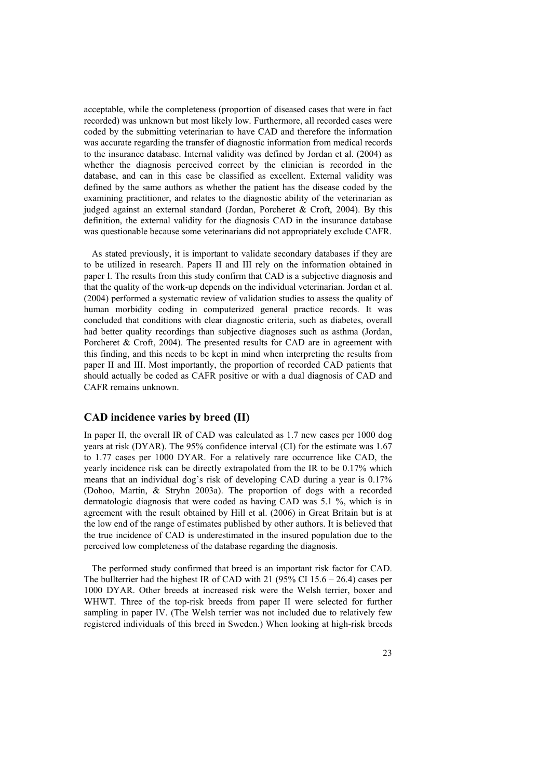acceptable, while the completeness (proportion of diseased cases that were in fact recorded) was unknown but most likely low. Furthermore, all recorded cases were coded by the submitting veterinarian to have CAD and therefore the information was accurate regarding the transfer of diagnostic information from medical records to the insurance database. Internal validity was defined by Jordan et al. (2004) as whether the diagnosis perceived correct by the clinician is recorded in the database, and can in this case be classified as excellent. External validity was defined by the same authors as whether the patient has the disease coded by the examining practitioner, and relates to the diagnostic ability of the veterinarian as judged against an external standard (Jordan, Porcheret & Croft, 2004). By this definition, the external validity for the diagnosis CAD in the insurance database was questionable because some veterinarians did not appropriately exclude CAFR.

As stated previously, it is important to validate secondary databases if they are to be utilized in research. Papers II and III rely on the information obtained in paper I. The results from this study confirm that CAD is a subjective diagnosis and that the quality of the work-up depends on the individual veterinarian. Jordan et al. (2004) performed a systematic review of validation studies to assess the quality of human morbidity coding in computerized general practice records. It was concluded that conditions with clear diagnostic criteria, such as diabetes, overall had better quality recordings than subjective diagnoses such as asthma (Jordan, Porcheret & Croft, 2004). The presented results for CAD are in agreement with this finding, and this needs to be kept in mind when interpreting the results from paper II and III. Most importantly, the proportion of recorded CAD patients that should actually be coded as CAFR positive or with a dual diagnosis of CAD and CAFR remains unknown.

### **CAD incidence varies by breed (II)**

In paper II, the overall IR of CAD was calculated as 1.7 new cases per 1000 dog years at risk (DYAR). The 95% confidence interval (CI) for the estimate was 1.67 to 1.77 cases per 1000 DYAR. For a relatively rare occurrence like CAD, the yearly incidence risk can be directly extrapolated from the IR to be 0.17% which means that an individual dog's risk of developing CAD during a year is 0.17% (Dohoo, Martin, & Stryhn 2003a). The proportion of dogs with a recorded dermatologic diagnosis that were coded as having CAD was 5.1 %, which is in agreement with the result obtained by Hill et al. (2006) in Great Britain but is at the low end of the range of estimates published by other authors. It is believed that the true incidence of CAD is underestimated in the insured population due to the perceived low completeness of the database regarding the diagnosis.

The performed study confirmed that breed is an important risk factor for CAD. The bullterrier had the highest IR of CAD with 21 (95% CI  $15.6 - 26.4$ ) cases per 1000 DYAR. Other breeds at increased risk were the Welsh terrier, boxer and WHWT. Three of the top-risk breeds from paper II were selected for further sampling in paper IV. (The Welsh terrier was not included due to relatively few registered individuals of this breed in Sweden.) When looking at high-risk breeds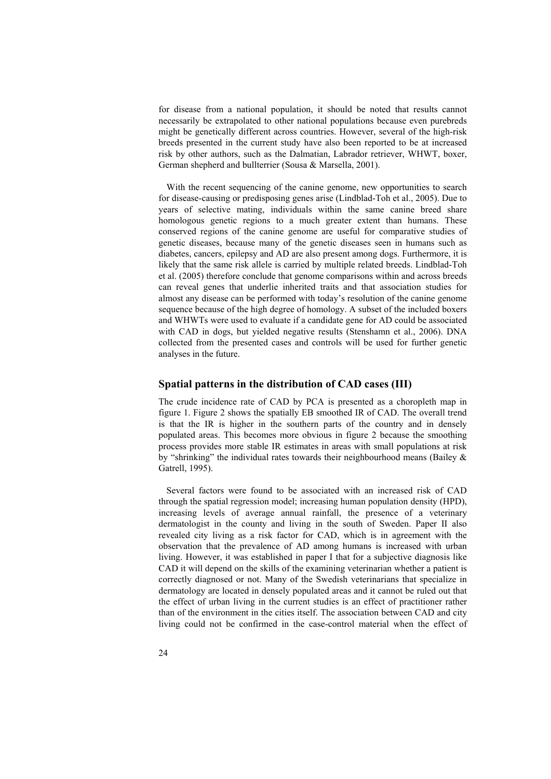for disease from a national population, it should be noted that results cannot necessarily be extrapolated to other national populations because even purebreds might be genetically different across countries. However, several of the high-risk breeds presented in the current study have also been reported to be at increased risk by other authors, such as the Dalmatian, Labrador retriever, WHWT, boxer, German shepherd and bullterrier (Sousa & Marsella, 2001).

With the recent sequencing of the canine genome, new opportunities to search for disease-causing or predisposing genes arise (Lindblad-Toh et al., 2005). Due to years of selective mating, individuals within the same canine breed share homologous genetic regions to a much greater extent than humans. These conserved regions of the canine genome are useful for comparative studies of genetic diseases, because many of the genetic diseases seen in humans such as diabetes, cancers, epilepsy and AD are also present among dogs. Furthermore, it is likely that the same risk allele is carried by multiple related breeds. Lindblad-Toh et al. (2005) therefore conclude that genome comparisons within and across breeds can reveal genes that underlie inherited traits and that association studies for almost any disease can be performed with today's resolution of the canine genome sequence because of the high degree of homology. A subset of the included boxers and WHWTs were used to evaluate if a candidate gene for AD could be associated with CAD in dogs, but yielded negative results (Stenshamn et al., 2006). DNA collected from the presented cases and controls will be used for further genetic analyses in the future.

### **Spatial patterns in the distribution of CAD cases (III)**

The crude incidence rate of CAD by PCA is presented as a choropleth map in figure 1. Figure 2 shows the spatially EB smoothed IR of CAD. The overall trend is that the IR is higher in the southern parts of the country and in densely populated areas. This becomes more obvious in figure 2 because the smoothing process provides more stable IR estimates in areas with small populations at risk by "shrinking" the individual rates towards their neighbourhood means (Bailey & Gatrell, 1995).

Several factors were found to be associated with an increased risk of CAD through the spatial regression model; increasing human population density (HPD), increasing levels of average annual rainfall, the presence of a veterinary dermatologist in the county and living in the south of Sweden. Paper II also revealed city living as a risk factor for CAD, which is in agreement with the observation that the prevalence of AD among humans is increased with urban living. However, it was established in paper I that for a subjective diagnosis like CAD it will depend on the skills of the examining veterinarian whether a patient is correctly diagnosed or not. Many of the Swedish veterinarians that specialize in dermatology are located in densely populated areas and it cannot be ruled out that the effect of urban living in the current studies is an effect of practitioner rather than of the environment in the cities itself. The association between CAD and city living could not be confirmed in the case-control material when the effect of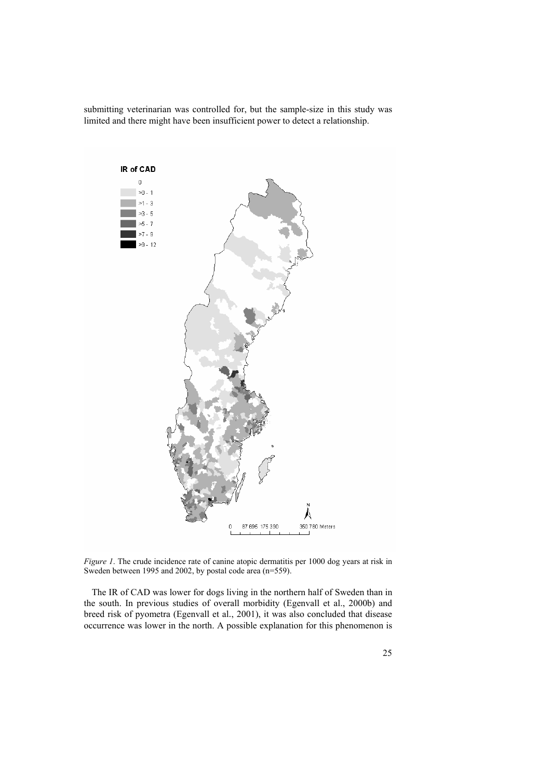submitting veterinarian was controlled for, but the sample-size in this study was limited and there might have been insufficient power to detect a relationship.



*Figure 1*. The crude incidence rate of canine atopic dermatitis per 1000 dog years at risk in Sweden between 1995 and 2002, by postal code area (n=559).

The IR of CAD was lower for dogs living in the northern half of Sweden than in the south. In previous studies of overall morbidity (Egenvall et al., 2000b) and breed risk of pyometra (Egenvall et al*.*, 2001), it was also concluded that disease occurrence was lower in the north. A possible explanation for this phenomenon is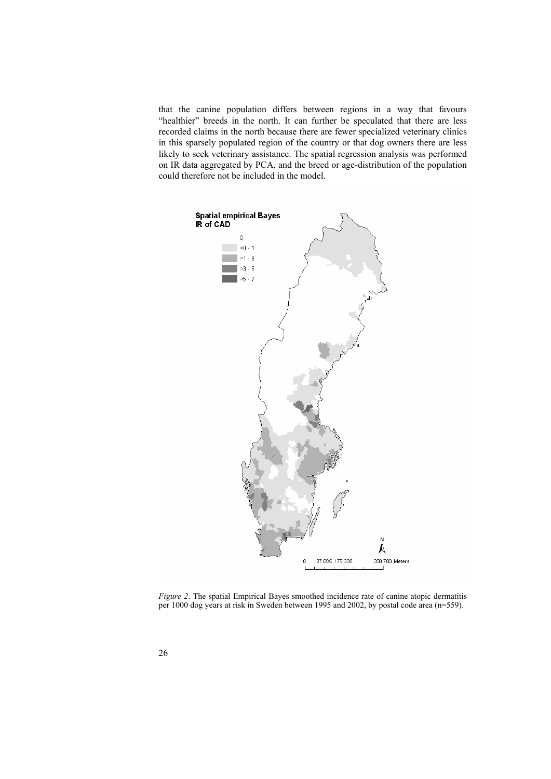that the canine population differs between regions in a way that favours "healthier" breeds in the north. It can further be speculated that there are less recorded claims in the north because there are fewer specialized veterinary clinics in this sparsely populated region of the country or that dog owners there are less likely to seek veterinary assistance. The spatial regression analysis was performed on IR data aggregated by PCA, and the breed or age-distribution of the population could therefore not be included in the model.



*Figure 2*. The spatial Empirical Bayes smoothed incidence rate of canine atopic dermatitis per 1000 dog years at risk in Sweden between 1995 and 2002, by postal code area (n=559).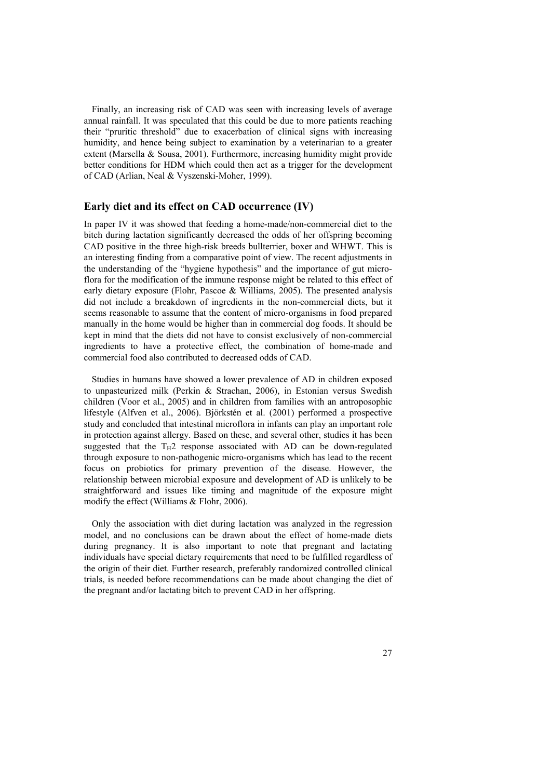Finally, an increasing risk of CAD was seen with increasing levels of average annual rainfall. It was speculated that this could be due to more patients reaching their "pruritic threshold" due to exacerbation of clinical signs with increasing humidity, and hence being subject to examination by a veterinarian to a greater extent (Marsella & Sousa, 2001). Furthermore, increasing humidity might provide better conditions for HDM which could then act as a trigger for the development of CAD (Arlian, Neal & Vyszenski-Moher, 1999).

### **Early diet and its effect on CAD occurrence (IV)**

In paper IV it was showed that feeding a home-made/non-commercial diet to the bitch during lactation significantly decreased the odds of her offspring becoming CAD positive in the three high-risk breeds bullterrier, boxer and WHWT. This is an interesting finding from a comparative point of view. The recent adjustments in the understanding of the "hygiene hypothesis" and the importance of gut microflora for the modification of the immune response might be related to this effect of early dietary exposure (Flohr, Pascoe & Williams, 2005). The presented analysis did not include a breakdown of ingredients in the non-commercial diets, but it seems reasonable to assume that the content of micro-organisms in food prepared manually in the home would be higher than in commercial dog foods. It should be kept in mind that the diets did not have to consist exclusively of non-commercial ingredients to have a protective effect, the combination of home-made and commercial food also contributed to decreased odds of CAD.

Studies in humans have showed a lower prevalence of AD in children exposed to unpasteurized milk (Perkin & Strachan, 2006), in Estonian versus Swedish children (Voor et al., 2005) and in children from families with an antroposophic lifestyle (Alfven et al., 2006). Björkstén et al. (2001) performed a prospective study and concluded that intestinal microflora in infants can play an important role in protection against allergy. Based on these, and several other, studies it has been suggested that the  $T_H2$  response associated with AD can be down-regulated through exposure to non-pathogenic micro-organisms which has lead to the recent focus on probiotics for primary prevention of the disease. However, the relationship between microbial exposure and development of AD is unlikely to be straightforward and issues like timing and magnitude of the exposure might modify the effect (Williams & Flohr, 2006).

Only the association with diet during lactation was analyzed in the regression model, and no conclusions can be drawn about the effect of home-made diets during pregnancy. It is also important to note that pregnant and lactating individuals have special dietary requirements that need to be fulfilled regardless of the origin of their diet. Further research, preferably randomized controlled clinical trials, is needed before recommendations can be made about changing the diet of the pregnant and/or lactating bitch to prevent CAD in her offspring.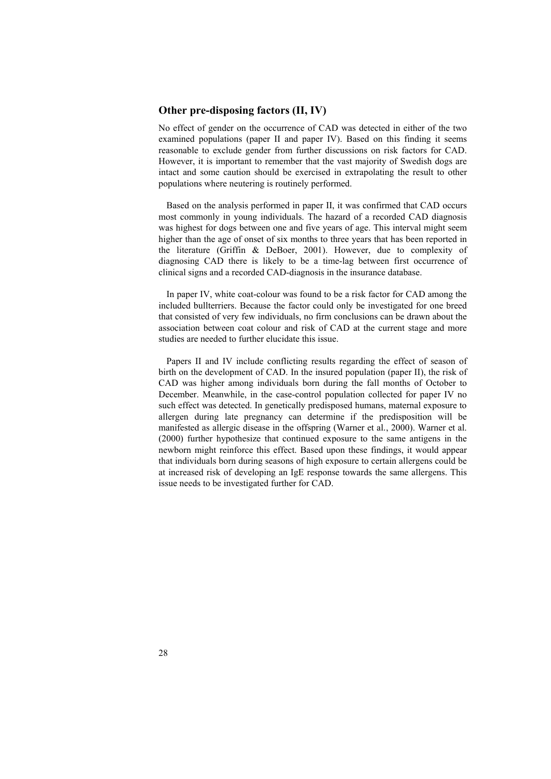### **Other pre-disposing factors (II, IV)**

No effect of gender on the occurrence of CAD was detected in either of the two examined populations (paper II and paper IV). Based on this finding it seems reasonable to exclude gender from further discussions on risk factors for CAD. However, it is important to remember that the vast majority of Swedish dogs are intact and some caution should be exercised in extrapolating the result to other populations where neutering is routinely performed.

Based on the analysis performed in paper II, it was confirmed that CAD occurs most commonly in young individuals. The hazard of a recorded CAD diagnosis was highest for dogs between one and five years of age. This interval might seem higher than the age of onset of six months to three years that has been reported in the literature (Griffin & DeBoer, 2001). However, due to complexity of diagnosing CAD there is likely to be a time-lag between first occurrence of clinical signs and a recorded CAD-diagnosis in the insurance database.

In paper IV, white coat-colour was found to be a risk factor for CAD among the included bullterriers. Because the factor could only be investigated for one breed that consisted of very few individuals, no firm conclusions can be drawn about the association between coat colour and risk of CAD at the current stage and more studies are needed to further elucidate this issue.

Papers II and IV include conflicting results regarding the effect of season of birth on the development of CAD. In the insured population (paper II), the risk of CAD was higher among individuals born during the fall months of October to December. Meanwhile, in the case-control population collected for paper IV no such effect was detected. In genetically predisposed humans, maternal exposure to allergen during late pregnancy can determine if the predisposition will be manifested as allergic disease in the offspring (Warner et al*.*, 2000). Warner et al. (2000) further hypothesize that continued exposure to the same antigens in the newborn might reinforce this effect. Based upon these findings, it would appear that individuals born during seasons of high exposure to certain allergens could be at increased risk of developing an IgE response towards the same allergens. This issue needs to be investigated further for CAD.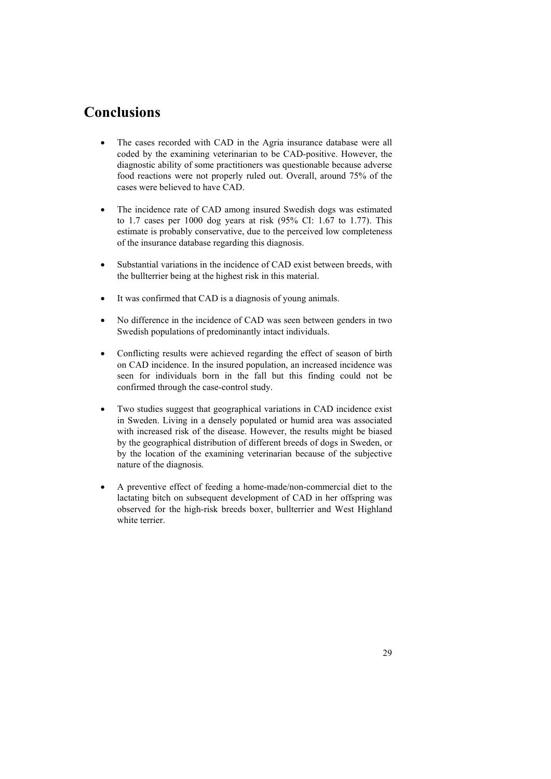## **Conclusions**

- The cases recorded with CAD in the Agria insurance database were all coded by the examining veterinarian to be CAD-positive. However, the diagnostic ability of some practitioners was questionable because adverse food reactions were not properly ruled out. Overall, around 75% of the cases were believed to have CAD.
- The incidence rate of CAD among insured Swedish dogs was estimated to 1.7 cases per 1000 dog years at risk  $(95\% \text{ CI: } 1.67 \text{ to } 1.77)$ . This estimate is probably conservative, due to the perceived low completeness of the insurance database regarding this diagnosis.
- Substantial variations in the incidence of CAD exist between breeds, with the bullterrier being at the highest risk in this material.
- It was confirmed that CAD is a diagnosis of young animals.
- No difference in the incidence of CAD was seen between genders in two Swedish populations of predominantly intact individuals.
- Conflicting results were achieved regarding the effect of season of birth on CAD incidence. In the insured population, an increased incidence was seen for individuals born in the fall but this finding could not be confirmed through the case-control study.
- Two studies suggest that geographical variations in CAD incidence exist in Sweden. Living in a densely populated or humid area was associated with increased risk of the disease. However, the results might be biased by the geographical distribution of different breeds of dogs in Sweden, or by the location of the examining veterinarian because of the subjective nature of the diagnosis.
- A preventive effect of feeding a home-made/non-commercial diet to the lactating bitch on subsequent development of CAD in her offspring was observed for the high-risk breeds boxer, bullterrier and West Highland white terrier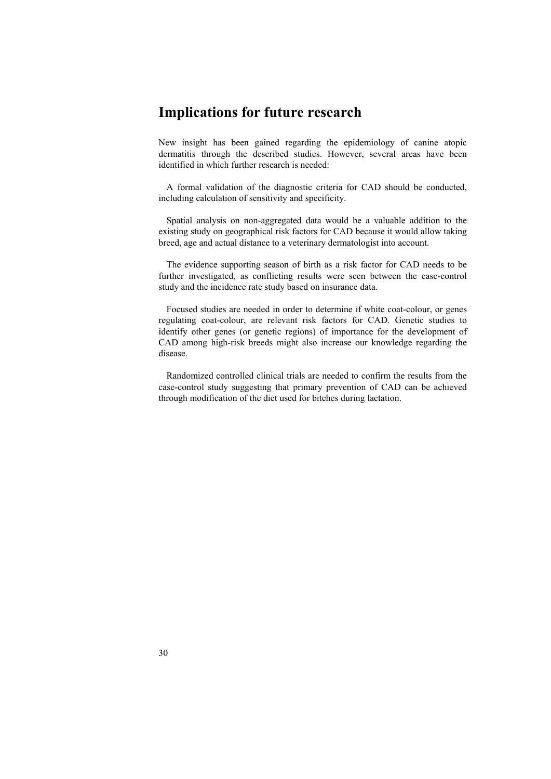### **Implications for future research**

New insight has been gained regarding the epidemiology of canine atopic dermatitis through the described studies. However, several areas have been identified in which further research is needed:

A formal validation of the diagnostic criteria for CAD should be conducted, including calculation of sensitivity and specificity.

Spatial analysis on non-aggregated data would be a valuable addition to the existing study on geographical risk factors for CAD because it would allow taking breed, age and actual distance to a veterinary dermatologist into account.

The evidence supporting season of birth as a risk factor for CAD needs to be further investigated, as conflicting results were seen between the case-control study and the incidence rate study based on insurance data.

Focused studies are needed in order to determine if white coat-colour, or genes regulating coat-colour, are relevant risk factors for CAD. Genetic studies to identify other genes (or genetic regions) of importance for the development of CAD among high-risk breeds might also increase our knowledge regarding the disease.

Randomized controlled clinical trials are needed to confirm the results from the case-control study suggesting that primary prevention of CAD can be achieved through modification of the diet used for bitches during lactation.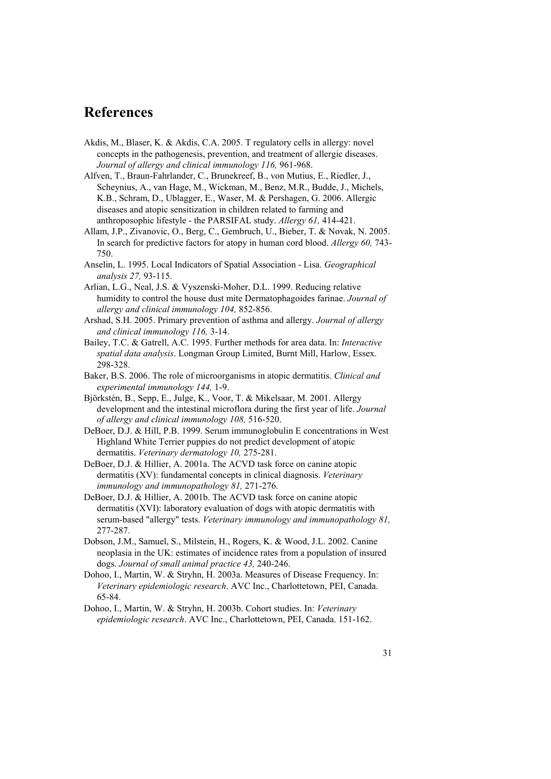### **References**

- Akdis, M., Blaser, K. & Akdis, C.A. 2005. T regulatory cells in allergy: novel concepts in the pathogenesis, prevention, and treatment of allergic diseases. *Journal of allergy and clinical immunology 116,* 961-968.
- Alfven, T., Braun-Fahrlander, C., Brunekreef, B., von Mutius, E., Riedler, J., Scheynius, A., van Hage, M., Wickman, M., Benz, M.R., Budde, J., Michels, K.B., Schram, D., Ublagger, E., Waser, M. & Pershagen, G. 2006. Allergic diseases and atopic sensitization in children related to farming and anthroposophic lifestyle - the PARSIFAL study. *Allergy 61,* 414-421.
- Allam, J.P., Zivanovic, O., Berg, C., Gembruch, U., Bieber, T. & Novak, N. 2005. In search for predictive factors for atopy in human cord blood. *Allergy 60,* 743- 750.
- Anselin, L. 1995. Local Indicators of Spatial Association Lisa. *Geographical analysis 27,* 93-115.
- Arlian, L.G., Neal, J.S. & Vyszenski-Moher, D.L. 1999. Reducing relative humidity to control the house dust mite Dermatophagoides farinae. *Journal of allergy and clinical immunology 104,* 852-856.
- Arshad, S.H. 2005. Primary prevention of asthma and allergy. *Journal of allergy and clinical immunology 116,* 3-14.
- Bailey, T.C. & Gatrell, A.C. 1995. Further methods for area data. In: *Interactive spatial data analysis*. Longman Group Limited, Burnt Mill, Harlow, Essex. 298-328.
- Baker, B.S. 2006. The role of microorganisms in atopic dermatitis. *Clinical and experimental immunology 144,* 1-9.
- Björkstén, B., Sepp, E., Julge, K., Voor, T. & Mikelsaar, M. 2001. Allergy development and the intestinal microflora during the first year of life. *Journal of allergy and clinical immunology 108,* 516-520.
- DeBoer, D.J. & Hill, P.B. 1999. Serum immunoglobulin E concentrations in West Highland White Terrier puppies do not predict development of atopic dermatitis. *Veterinary dermatology 10,* 275-281.
- DeBoer, D.J. & Hillier, A. 2001a. The ACVD task force on canine atopic dermatitis (XV): fundamental concepts in clinical diagnosis. *Veterinary immunology and immunopathology 81,* 271-276.
- DeBoer, D.J. & Hillier, A. 2001b. The ACVD task force on canine atopic dermatitis (XVI): laboratory evaluation of dogs with atopic dermatitis with serum-based "allergy" tests. *Veterinary immunology and immunopathology 81,* 277-287.
- Dobson, J.M., Samuel, S., Milstein, H., Rogers, K. & Wood, J.L. 2002. Canine neoplasia in the UK: estimates of incidence rates from a population of insured dogs. *Journal of small animal practice 43,* 240-246.
- Dohoo, I., Martin, W. & Stryhn, H. 2003a. Measures of Disease Frequency. In: *Veterinary epidemiologic research*. AVC Inc., Charlottetown, PEI, Canada. 65-84.
- Dohoo, I., Martin, W. & Stryhn, H. 2003b. Cohort studies. In: *Veterinary epidemiologic research*. AVC Inc., Charlottetown, PEI, Canada. 151-162.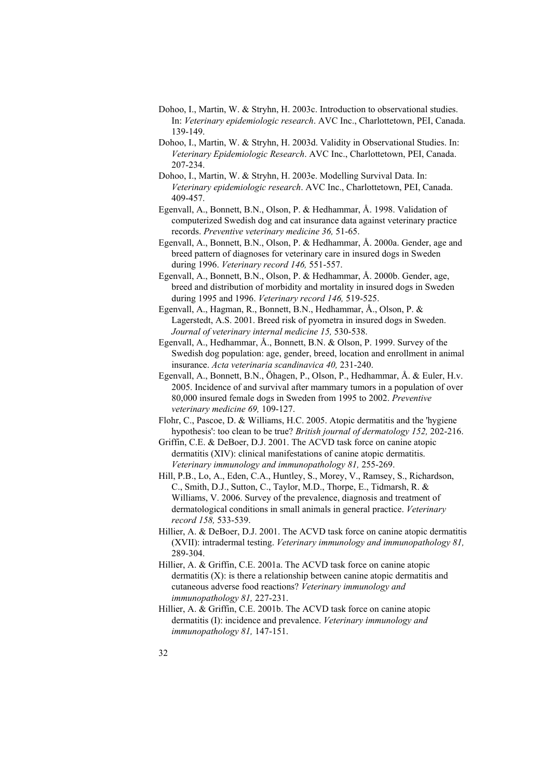- Dohoo, I., Martin, W. & Stryhn, H. 2003c. Introduction to observational studies. In: *Veterinary epidemiologic research*. AVC Inc., Charlottetown, PEI, Canada. 139-149.
- Dohoo, I., Martin, W. & Stryhn, H. 2003d. Validity in Observational Studies. In: *Veterinary Epidemiologic Research*. AVC Inc., Charlottetown, PEI, Canada. 207-234.
- Dohoo, I., Martin, W. & Stryhn, H. 2003e. Modelling Survival Data. In: *Veterinary epidemiologic research*. AVC Inc., Charlottetown, PEI, Canada. 409-457.
- Egenvall, A., Bonnett, B.N., Olson, P. & Hedhammar, Å. 1998. Validation of computerized Swedish dog and cat insurance data against veterinary practice records. *Preventive veterinary medicine 36,* 51-65.
- Egenvall, A., Bonnett, B.N., Olson, P. & Hedhammar, Å. 2000a. Gender, age and breed pattern of diagnoses for veterinary care in insured dogs in Sweden during 1996. *Veterinary record 146,* 551-557.
- Egenvall, A., Bonnett, B.N., Olson, P. & Hedhammar, Å. 2000b. Gender, age, breed and distribution of morbidity and mortality in insured dogs in Sweden during 1995 and 1996. *Veterinary record 146,* 519-525.
- Egenvall, A., Hagman, R., Bonnett, B.N., Hedhammar, Å., Olson, P. & Lagerstedt, A.S. 2001. Breed risk of pyometra in insured dogs in Sweden. *Journal of veterinary internal medicine 15,* 530-538.
- Egenvall, A., Hedhammar, Å., Bonnett, B.N. & Olson, P. 1999. Survey of the Swedish dog population: age, gender, breed, location and enrollment in animal insurance. *Acta veterinaria scandinavica 40,* 231-240.
- Egenvall, A., Bonnett, B.N., Öhagen, P., Olson, P., Hedhammar, Å. & Euler, H.v. 2005. Incidence of and survival after mammary tumors in a population of over 80,000 insured female dogs in Sweden from 1995 to 2002. *Preventive veterinary medicine 69,* 109-127.
- Flohr, C., Pascoe, D. & Williams, H.C. 2005. Atopic dermatitis and the 'hygiene hypothesis': too clean to be true? *British journal of dermatology 152,* 202-216.
- Griffin, C.E. & DeBoer, D.J. 2001. The ACVD task force on canine atopic dermatitis (XIV): clinical manifestations of canine atopic dermatitis. *Veterinary immunology and immunopathology 81,* 255-269.
- Hill, P.B., Lo, A., Eden, C.A., Huntley, S., Morey, V., Ramsey, S., Richardson, C., Smith, D.J., Sutton, C., Taylor, M.D., Thorpe, E., Tidmarsh, R. & Williams, V. 2006. Survey of the prevalence, diagnosis and treatment of dermatological conditions in small animals in general practice. *Veterinary record 158,* 533-539.
- Hillier, A. & DeBoer, D.J. 2001. The ACVD task force on canine atopic dermatitis (XVII): intradermal testing. *Veterinary immunology and immunopathology 81,* 289-304.
- Hillier, A. & Griffin, C.E. 2001a. The ACVD task force on canine atopic dermatitis (X): is there a relationship between canine atopic dermatitis and cutaneous adverse food reactions? *Veterinary immunology and immunopathology 81,* 227-231.
- Hillier, A. & Griffin, C.E. 2001b. The ACVD task force on canine atopic dermatitis (I): incidence and prevalence. *Veterinary immunology and immunopathology 81,* 147-151.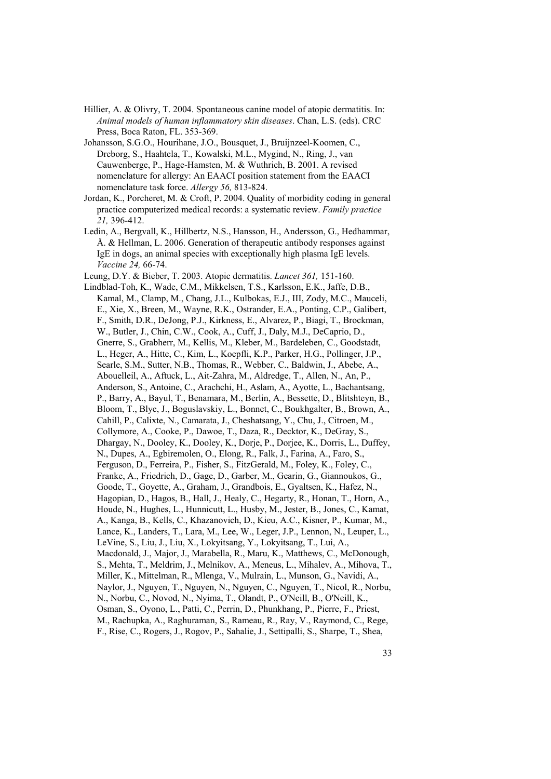- Hillier, A. & Olivry, T. 2004. Spontaneous canine model of atopic dermatitis. In: *Animal models of human inflammatory skin diseases*. Chan, L.S. (eds). CRC Press, Boca Raton, FL. 353-369.
- Johansson, S.G.O., Hourihane, J.O., Bousquet, J., Bruijnzeel-Koomen, C., Dreborg, S., Haahtela, T., Kowalski, M.L., Mygind, N., Ring, J., van Cauwenberge, P., Hage-Hamsten, M. & Wuthrich, B. 2001. A revised nomenclature for allergy: An EAACI position statement from the EAACI nomenclature task force. *Allergy 56,* 813-824.
- Jordan, K., Porcheret, M. & Croft, P. 2004. Quality of morbidity coding in general practice computerized medical records: a systematic review. *Family practice 21,* 396-412.
- Ledin, A., Bergvall, K., Hillbertz, N.S., Hansson, H., Andersson, G., Hedhammar, Å. & Hellman, L. 2006. Generation of therapeutic antibody responses against IgE in dogs, an animal species with exceptionally high plasma IgE levels. *Vaccine 24,* 66-74.

Leung, D.Y. & Bieber, T. 2003. Atopic dermatitis. *Lancet 361,* 151-160.

Lindblad-Toh, K., Wade, C.M., Mikkelsen, T.S., Karlsson, E.K., Jaffe, D.B., Kamal, M., Clamp, M., Chang, J.L., Kulbokas, E.J., III, Zody, M.C., Mauceli, E., Xie, X., Breen, M., Wayne, R.K., Ostrander, E.A., Ponting, C.P., Galibert, F., Smith, D.R., DeJong, P.J., Kirkness, E., Alvarez, P., Biagi, T., Brockman, W., Butler, J., Chin, C.W., Cook, A., Cuff, J., Daly, M.J., DeCaprio, D., Gnerre, S., Grabherr, M., Kellis, M., Kleber, M., Bardeleben, C., Goodstadt, L., Heger, A., Hitte, C., Kim, L., Koepfli, K.P., Parker, H.G., Pollinger, J.P., Searle, S.M., Sutter, N.B., Thomas, R., Webber, C., Baldwin, J., Abebe, A., Abouelleil, A., Aftuck, L., Ait-Zahra, M., Aldredge, T., Allen, N., An, P., Anderson, S., Antoine, C., Arachchi, H., Aslam, A., Ayotte, L., Bachantsang, P., Barry, A., Bayul, T., Benamara, M., Berlin, A., Bessette, D., Blitshteyn, B., Bloom, T., Blye, J., Boguslavskiy, L., Bonnet, C., Boukhgalter, B., Brown, A., Cahill, P., Calixte, N., Camarata, J., Cheshatsang, Y., Chu, J., Citroen, M., Collymore, A., Cooke, P., Dawoe, T., Daza, R., Decktor, K., DeGray, S., Dhargay, N., Dooley, K., Dooley, K., Dorje, P., Dorjee, K., Dorris, L., Duffey, N., Dupes, A., Egbiremolen, O., Elong, R., Falk, J., Farina, A., Faro, S., Ferguson, D., Ferreira, P., Fisher, S., FitzGerald, M., Foley, K., Foley, C., Franke, A., Friedrich, D., Gage, D., Garber, M., Gearin, G., Giannoukos, G., Goode, T., Goyette, A., Graham, J., Grandbois, E., Gyaltsen, K., Hafez, N., Hagopian, D., Hagos, B., Hall, J., Healy, C., Hegarty, R., Honan, T., Horn, A., Houde, N., Hughes, L., Hunnicutt, L., Husby, M., Jester, B., Jones, C., Kamat, A., Kanga, B., Kells, C., Khazanovich, D., Kieu, A.C., Kisner, P., Kumar, M., Lance, K., Landers, T., Lara, M., Lee, W., Leger, J.P., Lennon, N., Leuper, L., LeVine, S., Liu, J., Liu, X., Lokyitsang, Y., Lokyitsang, T., Lui, A., Macdonald, J., Major, J., Marabella, R., Maru, K., Matthews, C., McDonough, S., Mehta, T., Meldrim, J., Melnikov, A., Meneus, L., Mihalev, A., Mihova, T., Miller, K., Mittelman, R., Mlenga, V., Mulrain, L., Munson, G., Navidi, A., Naylor, J., Nguyen, T., Nguyen, N., Nguyen, C., Nguyen, T., Nicol, R., Norbu, N., Norbu, C., Novod, N., Nyima, T., Olandt, P., O'Neill, B., O'Neill, K., Osman, S., Oyono, L., Patti, C., Perrin, D., Phunkhang, P., Pierre, F., Priest, M., Rachupka, A., Raghuraman, S., Rameau, R., Ray, V., Raymond, C., Rege, F., Rise, C., Rogers, J., Rogov, P., Sahalie, J., Settipalli, S., Sharpe, T., Shea,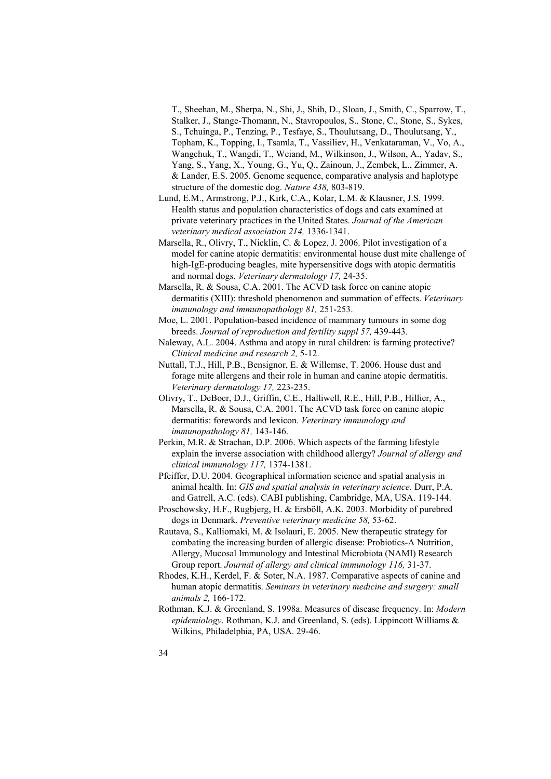T., Sheehan, M., Sherpa, N., Shi, J., Shih, D., Sloan, J., Smith, C., Sparrow, T., Stalker, J., Stange-Thomann, N., Stavropoulos, S., Stone, C., Stone, S., Sykes, S., Tchuinga, P., Tenzing, P., Tesfaye, S., Thoulutsang, D., Thoulutsang, Y., Topham, K., Topping, I., Tsamla, T., Vassiliev, H., Venkataraman, V., Vo, A., Wangchuk, T., Wangdi, T., Weiand, M., Wilkinson, J., Wilson, A., Yadav, S., Yang, S., Yang, X., Young, G., Yu, Q., Zainoun, J., Zembek, L., Zimmer, A. & Lander, E.S. 2005. Genome sequence, comparative analysis and haplotype structure of the domestic dog. *Nature 438,* 803-819.

- Lund, E.M., Armstrong, P.J., Kirk, C.A., Kolar, L.M. & Klausner, J.S. 1999. Health status and population characteristics of dogs and cats examined at private veterinary practices in the United States. *Journal of the American veterinary medical association 214,* 1336-1341.
- Marsella, R., Olivry, T., Nicklin, C. & Lopez, J. 2006. Pilot investigation of a model for canine atopic dermatitis: environmental house dust mite challenge of high-IgE-producing beagles, mite hypersensitive dogs with atopic dermatitis and normal dogs. *Veterinary dermatology 17,* 24-35.
- Marsella, R. & Sousa, C.A. 2001. The ACVD task force on canine atopic dermatitis (XIII): threshold phenomenon and summation of effects. *Veterinary immunology and immunopathology 81,* 251-253.
- Moe, L. 2001. Population-based incidence of mammary tumours in some dog breeds. *Journal of reproduction and fertility suppl 57,* 439-443.
- Naleway, A.L. 2004. Asthma and atopy in rural children: is farming protective? *Clinical medicine and research 2,* 5-12.
- Nuttall, T.J., Hill, P.B., Bensignor, E. & Willemse, T. 2006. House dust and forage mite allergens and their role in human and canine atopic dermatitis. *Veterinary dermatology 17,* 223-235.
- Olivry, T., DeBoer, D.J., Griffin, C.E., Halliwell, R.E., Hill, P.B., Hillier, A., Marsella, R. & Sousa, C.A. 2001. The ACVD task force on canine atopic dermatitis: forewords and lexicon. *Veterinary immunology and immunopathology 81,* 143-146.
- Perkin, M.R. & Strachan, D.P. 2006. Which aspects of the farming lifestyle explain the inverse association with childhood allergy? *Journal of allergy and clinical immunology 117,* 1374-1381.
- Pfeiffer, D.U. 2004. Geographical information science and spatial analysis in animal health. In: *GIS and spatial analysis in veterinary science*. Durr, P.A. and Gatrell, A.C. (eds). CABI publishing, Cambridge, MA, USA. 119-144.
- Proschowsky, H.F., Rugbjerg, H. & Ersböll, A.K. 2003. Morbidity of purebred dogs in Denmark. *Preventive veterinary medicine 58,* 53-62.
- Rautava, S., Kalliomaki, M. & Isolauri, E. 2005. New therapeutic strategy for combating the increasing burden of allergic disease: Probiotics-A Nutrition, Allergy, Mucosal Immunology and Intestinal Microbiota (NAMI) Research Group report. *Journal of allergy and clinical immunology 116,* 31-37.
- Rhodes, K.H., Kerdel, F. & Soter, N.A. 1987. Comparative aspects of canine and human atopic dermatitis. *Seminars in veterinary medicine and surgery: small animals 2,* 166-172.
- Rothman, K.J. & Greenland, S. 1998a. Measures of disease frequency. In: *Modern epidemiology*. Rothman, K.J. and Greenland, S. (eds). Lippincott Williams & Wilkins, Philadelphia, PA, USA. 29-46.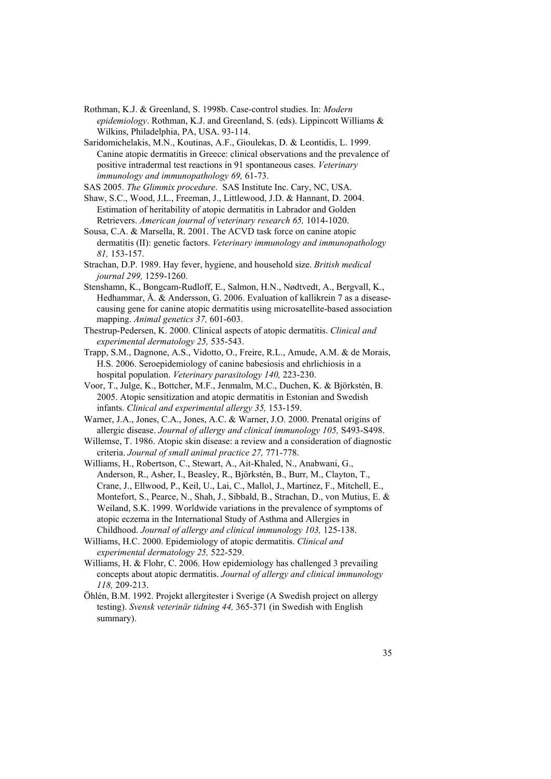- Rothman, K.J. & Greenland, S. 1998b. Case-control studies. In: *Modern epidemiology*. Rothman, K.J. and Greenland, S. (eds). Lippincott Williams & Wilkins, Philadelphia, PA, USA. 93-114.
- Saridomichelakis, M.N., Koutinas, A.F., Gioulekas, D. & Leontidis, L. 1999. Canine atopic dermatitis in Greece: clinical observations and the prevalence of positive intradermal test reactions in 91 spontaneous cases. *Veterinary immunology and immunopathology 69,* 61-73.

SAS 2005. *The Glimmix procedure*. SAS Institute Inc. Cary, NC, USA.

- Shaw, S.C., Wood, J.L., Freeman, J., Littlewood, J.D. & Hannant, D. 2004. Estimation of heritability of atopic dermatitis in Labrador and Golden Retrievers. *American journal of veterinary research 65,* 1014-1020.
- Sousa, C.A. & Marsella, R. 2001. The ACVD task force on canine atopic dermatitis (II): genetic factors. *Veterinary immunology and immunopathology 81,* 153-157.
- Strachan, D.P. 1989. Hay fever, hygiene, and household size. *British medical journal 299,* 1259-1260.
- Stenshamn, K., Bongcam-Rudloff, E., Salmon, H.N., Nødtvedt, A., Bergvall, K., Hedhammar, Å. & Andersson, G. 2006. Evaluation of kallikrein 7 as a diseasecausing gene for canine atopic dermatitis using microsatellite-based association mapping. *Animal genetics 37,* 601-603.
- Thestrup-Pedersen, K. 2000. Clinical aspects of atopic dermatitis. *Clinical and experimental dermatology 25,* 535-543.
- Trapp, S.M., Dagnone, A.S., Vidotto, O., Freire, R.L., Amude, A.M. & de Morais, H.S. 2006. Seroepidemiology of canine babesiosis and ehrlichiosis in a hospital population. *Veterinary parasitology 140,* 223-230.
- Voor, T., Julge, K., Bottcher, M.F., Jenmalm, M.C., Duchen, K. & Björkstén, B. 2005. Atopic sensitization and atopic dermatitis in Estonian and Swedish infants. *Clinical and experimental allergy 35,* 153-159.
- Warner, J.A., Jones, C.A., Jones, A.C. & Warner, J.O. 2000. Prenatal origins of allergic disease. *Journal of allergy and clinical immunology 105,* S493-S498.
- Willemse, T. 1986. Atopic skin disease: a review and a consideration of diagnostic criteria. *Journal of small animal practice 27,* 771-778.
- Williams, H., Robertson, C., Stewart, A., Ait-Khaled, N., Anabwani, G., Anderson, R., Asher, I., Beasley, R., Björkstén, B., Burr, M., Clayton, T., Crane, J., Ellwood, P., Keil, U., Lai, C., Mallol, J., Martinez, F., Mitchell, E., Montefort, S., Pearce, N., Shah, J., Sibbald, B., Strachan, D., von Mutius, E. & Weiland, S.K. 1999. Worldwide variations in the prevalence of symptoms of atopic eczema in the International Study of Asthma and Allergies in Childhood. *Journal of allergy and clinical immunology 103,* 125-138.
- Williams, H.C. 2000. Epidemiology of atopic dermatitis. *Clinical and experimental dermatology 25,* 522-529.
- Williams, H. & Flohr, C. 2006. How epidemiology has challenged 3 prevailing concepts about atopic dermatitis. *Journal of allergy and clinical immunology 118,* 209-213.
- Öhlén, B.M. 1992. Projekt allergitester i Sverige (A Swedish project on allergy testing). *Svensk veterinär tidning 44,* 365-371 (in Swedish with English summary).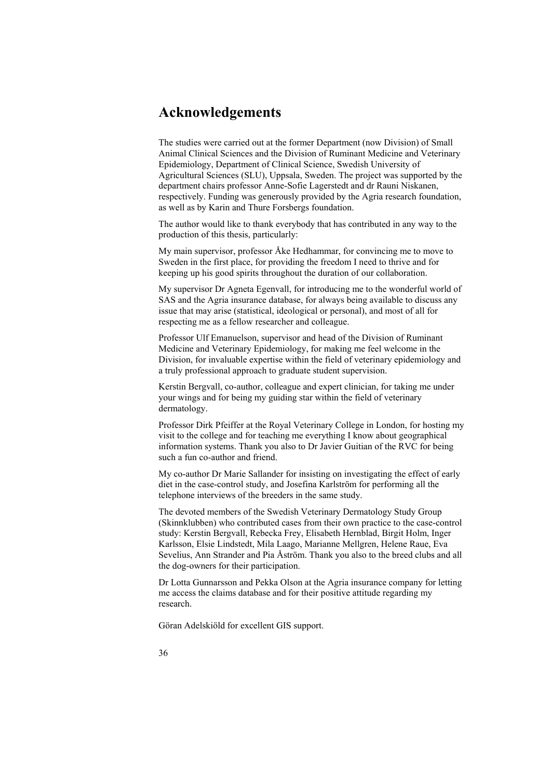### **Acknowledgements**

The studies were carried out at the former Department (now Division) of Small Animal Clinical Sciences and the Division of Ruminant Medicine and Veterinary Epidemiology, Department of Clinical Science, Swedish University of Agricultural Sciences (SLU), Uppsala, Sweden. The project was supported by the department chairs professor Anne-Sofie Lagerstedt and dr Rauni Niskanen, respectively. Funding was generously provided by the Agria research foundation, as well as by Karin and Thure Forsbergs foundation.

The author would like to thank everybody that has contributed in any way to the production of this thesis, particularly:

My main supervisor, professor Åke Hedhammar, for convincing me to move to Sweden in the first place, for providing the freedom I need to thrive and for keeping up his good spirits throughout the duration of our collaboration.

My supervisor Dr Agneta Egenvall, for introducing me to the wonderful world of SAS and the Agria insurance database, for always being available to discuss any issue that may arise (statistical, ideological or personal), and most of all for respecting me as a fellow researcher and colleague.

Professor Ulf Emanuelson, supervisor and head of the Division of Ruminant Medicine and Veterinary Epidemiology, for making me feel welcome in the Division, for invaluable expertise within the field of veterinary epidemiology and a truly professional approach to graduate student supervision.

Kerstin Bergvall, co-author, colleague and expert clinician, for taking me under your wings and for being my guiding star within the field of veterinary dermatology.

Professor Dirk Pfeiffer at the Royal Veterinary College in London, for hosting my visit to the college and for teaching me everything I know about geographical information systems. Thank you also to Dr Javier Guitian of the RVC for being such a fun co-author and friend.

My co-author Dr Marie Sallander for insisting on investigating the effect of early diet in the case-control study, and Josefina Karlström for performing all the telephone interviews of the breeders in the same study.

The devoted members of the Swedish Veterinary Dermatology Study Group (Skinnklubben) who contributed cases from their own practice to the case-control study: Kerstin Bergvall, Rebecka Frey, Elisabeth Hernblad, Birgit Holm, Inger Karlsson, Elsie Lindstedt, Mila Laago, Marianne Mellgren, Helene Raue, Eva Sevelius, Ann Strander and Pia Åström. Thank you also to the breed clubs and all the dog-owners for their participation.

Dr Lotta Gunnarsson and Pekka Olson at the Agria insurance company for letting me access the claims database and for their positive attitude regarding my research.

Göran Adelskiöld for excellent GIS support.